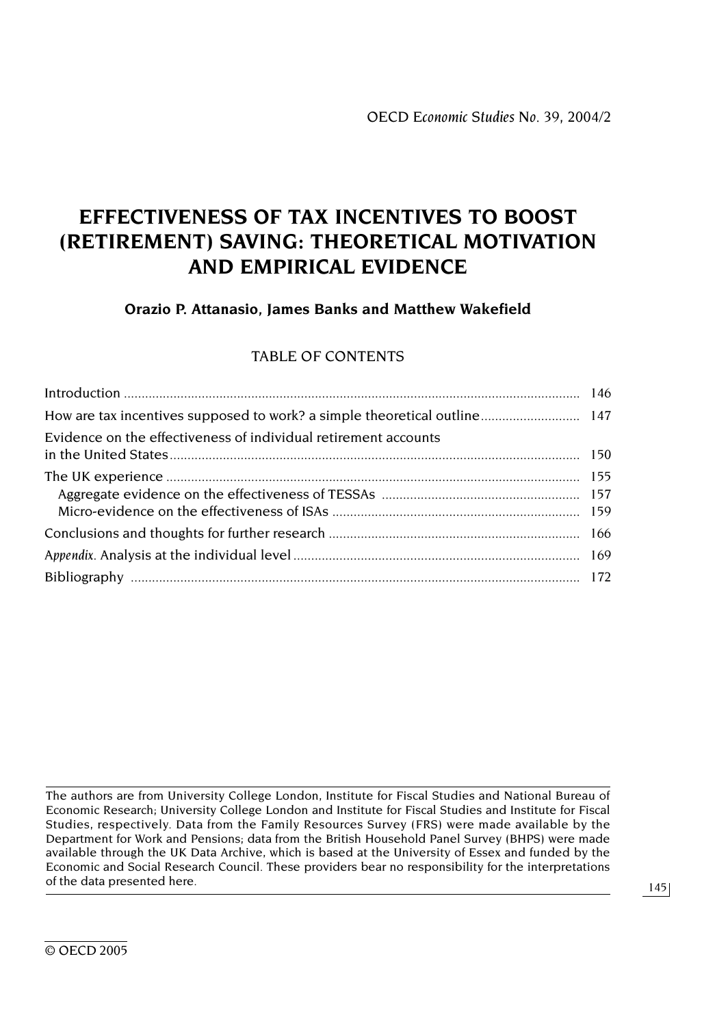# **EFFECTIVENESS OF TAX INCENTIVES TO BOOST (RETIREMENT) SAVING: THEORETICAL MOTIVATION AND EMPIRICAL EVIDENCE**

# **Orazio P. Attanasio, James Banks and Matthew Wakefield**

# TABLE OF CONTENTS

| Evidence on the effectiveness of individual retirement accounts |  |
|-----------------------------------------------------------------|--|
|                                                                 |  |
|                                                                 |  |
|                                                                 |  |
|                                                                 |  |

The authors are from University College London, Institute for Fiscal Studies and National Bureau of Economic Research; University College London and Institute for Fiscal Studies and Institute for Fiscal Studies, respectively. Data from the Family Resources Survey (FRS) were made available by the Department for Work and Pensions; data from the British Household Panel Survey (BHPS) were made available through the UK Data Archive, which is based at the University of Essex and funded by the Economic and Social Research Council. These providers bear no responsibility for the interpretations of the data presented here.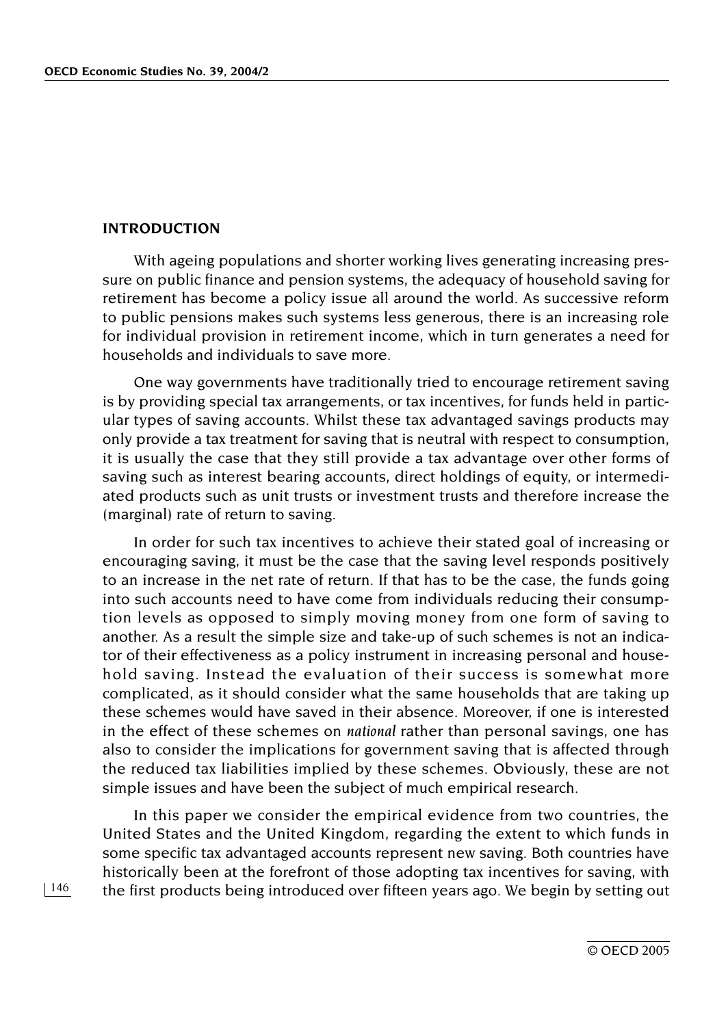#### **INTRODUCTION**

With ageing populations and shorter working lives generating increasing pressure on public finance and pension systems, the adequacy of household saving for retirement has become a policy issue all around the world. As successive reform to public pensions makes such systems less generous, there is an increasing role for individual provision in retirement income, which in turn generates a need for households and individuals to save more.

One way governments have traditionally tried to encourage retirement saving is by providing special tax arrangements, or tax incentives, for funds held in particular types of saving accounts. Whilst these tax advantaged savings products may only provide a tax treatment for saving that is neutral with respect to consumption, it is usually the case that they still provide a tax advantage over other forms of saving such as interest bearing accounts, direct holdings of equity, or intermediated products such as unit trusts or investment trusts and therefore increase the (marginal) rate of return to saving.

In order for such tax incentives to achieve their stated goal of increasing or encouraging saving, it must be the case that the saving level responds positively to an increase in the net rate of return. If that has to be the case, the funds going into such accounts need to have come from individuals reducing their consumption levels as opposed to simply moving money from one form of saving to another. As a result the simple size and take-up of such schemes is not an indicator of their effectiveness as a policy instrument in increasing personal and household saving. Instead the evaluation of their success is somewhat more complicated, as it should consider what the same households that are taking up these schemes would have saved in their absence. Moreover, if one is interested in the effect of these schemes on *national* rather than personal savings, one has also to consider the implications for government saving that is affected through the reduced tax liabilities implied by these schemes. Obviously, these are not simple issues and have been the subject of much empirical research.

In this paper we consider the empirical evidence from two countries, the United States and the United Kingdom, regarding the extent to which funds in some specific tax advantaged accounts represent new saving. Both countries have historically been at the forefront of those adopting tax incentives for saving, with the first products being introduced over fifteen years ago. We begin by setting out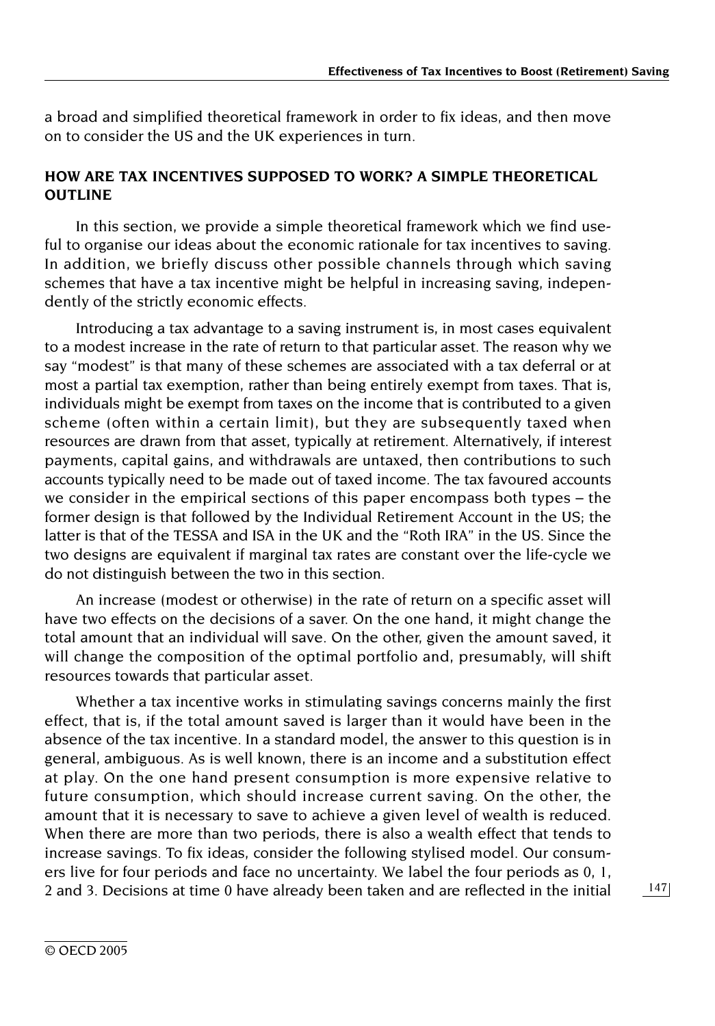a broad and simplified theoretical framework in order to fix ideas, and then move on to consider the US and the UK experiences in turn.

## **HOW ARE TAX INCENTIVES SUPPOSED TO WORK? A SIMPLE THEORETICAL OUTLINE**

In this section, we provide a simple theoretical framework which we find useful to organise our ideas about the economic rationale for tax incentives to saving. In addition, we briefly discuss other possible channels through which saving schemes that have a tax incentive might be helpful in increasing saving, independently of the strictly economic effects.

Introducing a tax advantage to a saving instrument is, in most cases equivalent to a modest increase in the rate of return to that particular asset. The reason why we say "modest" is that many of these schemes are associated with a tax deferral or at most a partial tax exemption, rather than being entirely exempt from taxes. That is, individuals might be exempt from taxes on the income that is contributed to a given scheme (often within a certain limit), but they are subsequently taxed when resources are drawn from that asset, typically at retirement. Alternatively, if interest payments, capital gains, and withdrawals are untaxed, then contributions to such accounts typically need to be made out of taxed income. The tax favoured accounts we consider in the empirical sections of this paper encompass both types – the former design is that followed by the Individual Retirement Account in the US; the latter is that of the TESSA and ISA in the UK and the "Roth IRA" in the US. Since the two designs are equivalent if marginal tax rates are constant over the life-cycle we do not distinguish between the two in this section.

An increase (modest or otherwise) in the rate of return on a specific asset will have two effects on the decisions of a saver. On the one hand, it might change the total amount that an individual will save. On the other, given the amount saved, it will change the composition of the optimal portfolio and, presumably, will shift resources towards that particular asset.

Whether a tax incentive works in stimulating savings concerns mainly the first effect, that is, if the total amount saved is larger than it would have been in the absence of the tax incentive. In a standard model, the answer to this question is in general, ambiguous. As is well known, there is an income and a substitution effect at play. On the one hand present consumption is more expensive relative to future consumption, which should increase current saving. On the other, the amount that it is necessary to save to achieve a given level of wealth is reduced. When there are more than two periods, there is also a wealth effect that tends to increase savings. To fix ideas, consider the following stylised model. Our consumers live for four periods and face no uncertainty. We label the four periods as 0, 1, 2 and 3. Decisions at time 0 have already been taken and are reflected in the initial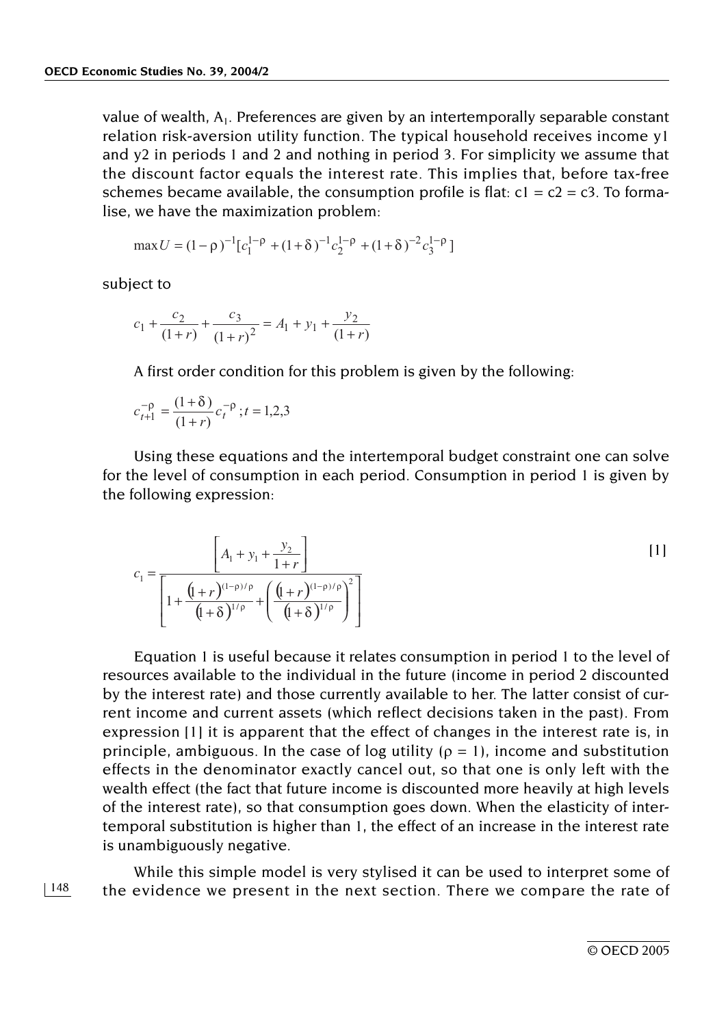value of wealth, A1. Preferences are given by an intertemporally separable constant relation risk-aversion utility function. The typical household receives income y1 and y2 in periods 1 and 2 and nothing in period 3. For simplicity we assume that the discount factor equals the interest rate. This implies that, before tax-free schemes became available, the consumption profile is flat:  $c1 = c2 = c3$ . To formalise, we have the maximization problem:

$$
\max U = (1 - \rho)^{-1} [c_1^{1-\rho} + (1+\delta)^{-1} c_2^{1-\rho} + (1+\delta)^{-2} c_3^{1-\rho}]
$$

subject to

$$
c_1 + \frac{c_2}{(1+r)} + \frac{c_3}{(1+r)^2} = A_1 + y_1 + \frac{y_2}{(1+r)}
$$

A first order condition for this problem is given by the following:

$$
c_{t+1}^{-\rho} = \frac{(1+\delta)}{(1+r)} c_t^{-\rho}; t = 1, 2, 3
$$

Using these equations and the intertemporal budget constraint one can solve for the level of consumption in each period. Consumption in period 1 is given by the following expression:

$$
c_1 = \frac{\left[A_1 + y_1 + \frac{y_2}{1+r}\right]}{\left[1 + \frac{\left(\frac{1}{1+r}\right)^{(1-\rho)/\rho}}{\left(\frac{1}{1+\delta}\right)^{1/\rho}} + \left(\frac{\left(\frac{1}{1+r}\right)^{(1-\rho)/\rho}}{\left(\frac{1}{1+\delta}\right)^{1/\rho}}\right)^2\right]}
$$

Equation 1 is useful because it relates consumption in period 1 to the level of resources available to the individual in the future (income in period 2 discounted by the interest rate) and those currently available to her. The latter consist of current income and current assets (which reflect decisions taken in the past). From expression [1] it is apparent that the effect of changes in the interest rate is, in principle, ambiguous. In the case of log utility ( $\rho = 1$ ), income and substitution effects in the denominator exactly cancel out, so that one is only left with the wealth effect (the fact that future income is discounted more heavily at high levels of the interest rate), so that consumption goes down. When the elasticity of intertemporal substitution is higher than 1, the effect of an increase in the interest rate is unambiguously negative.

While this simple model is very stylised it can be used to interpret some of the evidence we present in the next section. There we compare the rate of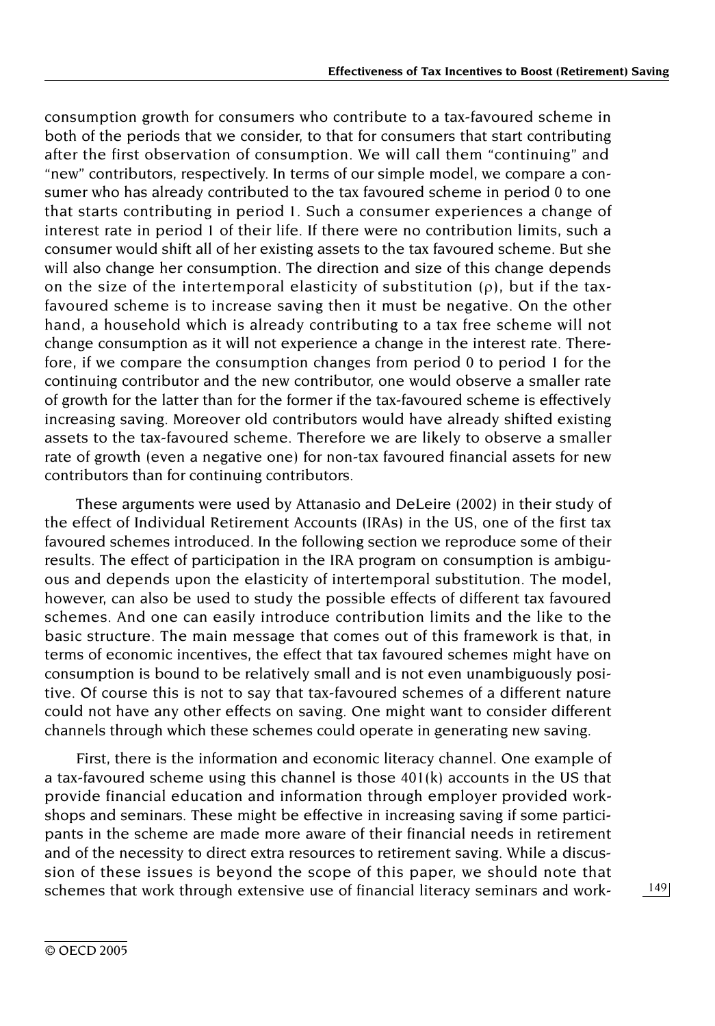consumption growth for consumers who contribute to a tax-favoured scheme in both of the periods that we consider, to that for consumers that start contributing after the first observation of consumption. We will call them "continuing" and "new" contributors, respectively. In terms of our simple model, we compare a consumer who has already contributed to the tax favoured scheme in period 0 to one that starts contributing in period 1. Such a consumer experiences a change of interest rate in period 1 of their life. If there were no contribution limits, such a consumer would shift all of her existing assets to the tax favoured scheme. But she will also change her consumption. The direction and size of this change depends on the size of the intertemporal elasticity of substitution (ρ), but if the taxfavoured scheme is to increase saving then it must be negative. On the other hand, a household which is already contributing to a tax free scheme will not change consumption as it will not experience a change in the interest rate. Therefore, if we compare the consumption changes from period 0 to period 1 for the continuing contributor and the new contributor, one would observe a smaller rate of growth for the latter than for the former if the tax-favoured scheme is effectively increasing saving. Moreover old contributors would have already shifted existing assets to the tax-favoured scheme. Therefore we are likely to observe a smaller rate of growth (even a negative one) for non-tax favoured financial assets for new contributors than for continuing contributors.

These arguments were used by Attanasio and DeLeire (2002) in their study of the effect of Individual Retirement Accounts (IRAs) in the US, one of the first tax favoured schemes introduced. In the following section we reproduce some of their results. The effect of participation in the IRA program on consumption is ambiguous and depends upon the elasticity of intertemporal substitution. The model, however, can also be used to study the possible effects of different tax favoured schemes. And one can easily introduce contribution limits and the like to the basic structure. The main message that comes out of this framework is that, in terms of economic incentives, the effect that tax favoured schemes might have on consumption is bound to be relatively small and is not even unambiguously positive. Of course this is not to say that tax-favoured schemes of a different nature could not have any other effects on saving. One might want to consider different channels through which these schemes could operate in generating new saving.

First, there is the information and economic literacy channel. One example of a tax-favoured scheme using this channel is those 401(k) accounts in the US that provide financial education and information through employer provided workshops and seminars. These might be effective in increasing saving if some participants in the scheme are made more aware of their financial needs in retirement and of the necessity to direct extra resources to retirement saving. While a discussion of these issues is beyond the scope of this paper, we should note that schemes that work through extensive use of financial literacy seminars and work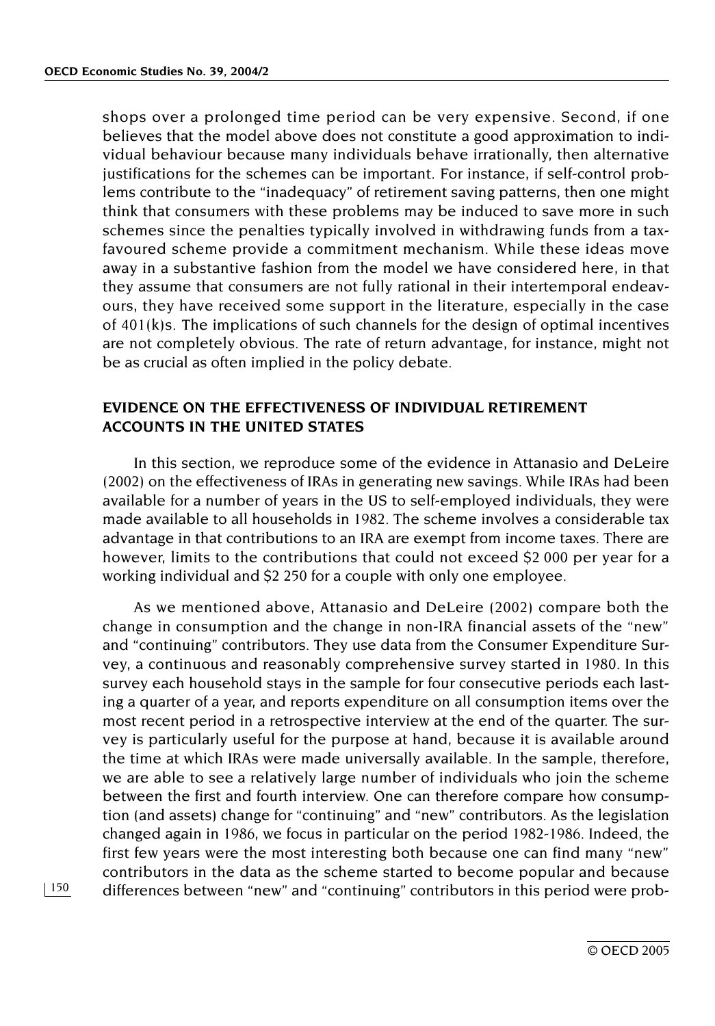shops over a prolonged time period can be very expensive. Second, if one believes that the model above does not constitute a good approximation to individual behaviour because many individuals behave irrationally, then alternative justifications for the schemes can be important. For instance, if self-control problems contribute to the "inadequacy" of retirement saving patterns, then one might think that consumers with these problems may be induced to save more in such schemes since the penalties typically involved in withdrawing funds from a taxfavoured scheme provide a commitment mechanism. While these ideas move away in a substantive fashion from the model we have considered here, in that they assume that consumers are not fully rational in their intertemporal endeavours, they have received some support in the literature, especially in the case of 401(k)s. The implications of such channels for the design of optimal incentives are not completely obvious. The rate of return advantage, for instance, might not be as crucial as often implied in the policy debate.

## **EVIDENCE ON THE EFFECTIVENESS OF INDIVIDUAL RETIREMENT ACCOUNTS IN THE UNITED STATES**

In this section, we reproduce some of the evidence in Attanasio and DeLeire (2002) on the effectiveness of IRAs in generating new savings. While IRAs had been available for a number of years in the US to self-employed individuals, they were made available to all households in 1982. The scheme involves a considerable tax advantage in that contributions to an IRA are exempt from income taxes. There are however, limits to the contributions that could not exceed \$2 000 per year for a working individual and \$2 250 for a couple with only one employee.

As we mentioned above, Attanasio and DeLeire (2002) compare both the change in consumption and the change in non-IRA financial assets of the "new" and "continuing" contributors. They use data from the Consumer Expenditure Survey, a continuous and reasonably comprehensive survey started in 1980. In this survey each household stays in the sample for four consecutive periods each lasting a quarter of a year, and reports expenditure on all consumption items over the most recent period in a retrospective interview at the end of the quarter. The survey is particularly useful for the purpose at hand, because it is available around the time at which IRAs were made universally available. In the sample, therefore, we are able to see a relatively large number of individuals who join the scheme between the first and fourth interview. One can therefore compare how consumption (and assets) change for "continuing" and "new" contributors. As the legislation changed again in 1986, we focus in particular on the period 1982-1986. Indeed, the first few years were the most interesting both because one can find many "new" contributors in the data as the scheme started to become popular and because differences between "new" and "continuing" contributors in this period were prob-

© OECD 2005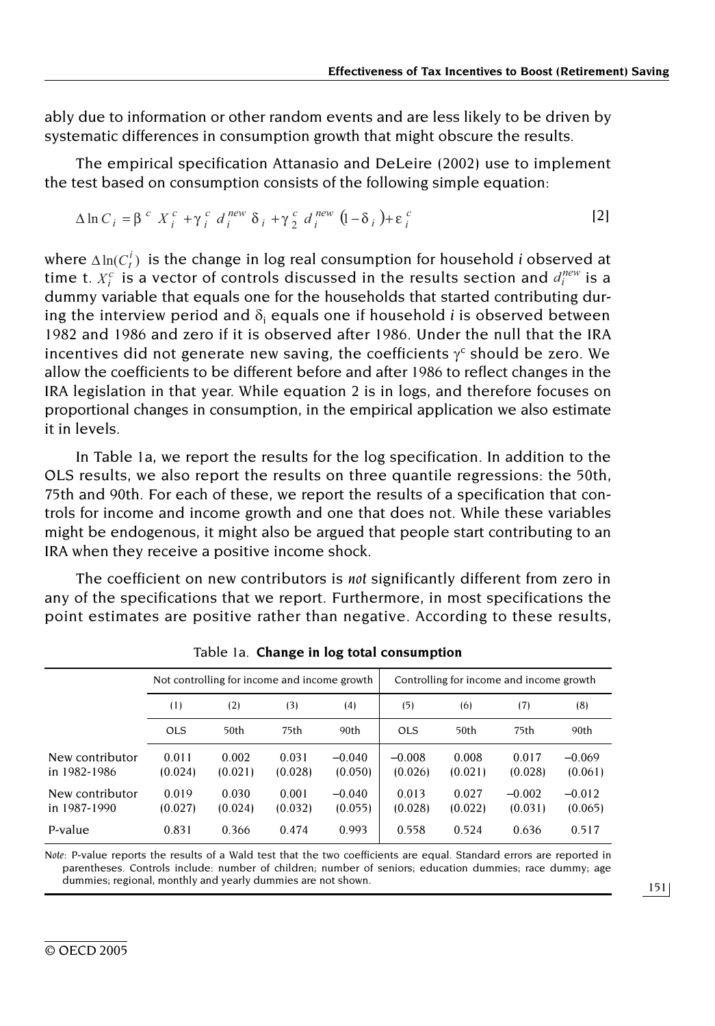ably due to information or other random events and are less likely to be driven by systematic differences in consumption growth that might obscure the results.

The empirical specification Attanasio and DeLeire (2002) use to implement the test based on consumption consists of the following simple equation:

$$
\Delta \ln C_i = \beta^c X_i^c + \gamma_i^c d_i^{new} \delta_i + \gamma_2^c d_i^{new} (1 - \delta_i) + \varepsilon_i^c
$$
 [2]

where  $\Delta \ln(C_t^i)$  is the change in log real consumption for household *i* observed at where  $\Delta \ln(C_t^i)$  is the change in log real consumption for household *i* observed at time t.  $X_i^c$  is a vector of controls discussed in the results section and  $d_i^{new}$  is a dummy variable that equals one for the households that started contributing during the interview period and  $\delta_i$  equals one if household *i* is observed between 1982 and 1986 and zero if it is observed after 1986. Under the null that the IRA incentives did not generate new saving, the coefficients  $\gamma^c$  should be zero. We allow the coefficients to be different before and after 1986 to reflect changes in the IRA legislation in that year. While equation 2 is in logs, and therefore focuses on proportional changes in consumption, in the empirical application we also estimate it in levels.

In Table 1a, we report the results for the log specification. In addition to the OLS results, we also report the results on three quantile regressions: the 50th, 75th and 90th. For each of these, we report the results of a specification that controls for income and income growth and one that does not. While these variables might be endogenous, it might also be argued that people start contributing to an IRA when they receive a positive income shock.

The coefficient on new contributors is *not* significantly different from zero in any of the specifications that we report. Furthermore, in most specifications the point estimates are positive rather than negative. According to these results,

|                                 |                  | Not controlling for income and income growth |                  |                     |                     |                  | Controlling for income and income growth |                     |
|---------------------------------|------------------|----------------------------------------------|------------------|---------------------|---------------------|------------------|------------------------------------------|---------------------|
|                                 | (1)              | (2)                                          | (3)              | (4)                 | (5)                 | (6)              | (7)                                      | (8)                 |
|                                 | <b>OLS</b>       | 50th                                         | 75th             | 90th                | <b>OLS</b>          | 50th             | 75th                                     | 90th                |
| New contributor<br>in 1982-1986 | 0.011<br>(0.024) | 0.002<br>(0.021)                             | 0.031<br>(0.028) | $-0.040$<br>(0.050) | $-0.008$<br>(0.026) | 0.008<br>(0.021) | 0.017<br>(0.028)                         | $-0.069$<br>(0.061) |
| New contributor<br>in 1987-1990 | 0.019<br>(0.027) | 0.030<br>(0.024)                             | 0.001<br>(0.032) | $-0.040$<br>(0.055) | 0.013<br>(0.028)    | 0.027<br>(0.022) | $-0.002$<br>(0.031)                      | $-0.012$<br>(0.065) |
| P-value                         | 0.831            | 0.366                                        | 0.474            | 0.993               | 0.558               | 0.524            | 0.636                                    | 0.517               |

Table 1a. **Change in log total consumption**

*Note:* P-value reports the results of a Wald test that the two coefficients are equal. Standard errors are reported in parentheses. Controls include: number of children; number of seniors; education dummies; race dummy; age dummies; regional, monthly and yearly dummies are not shown.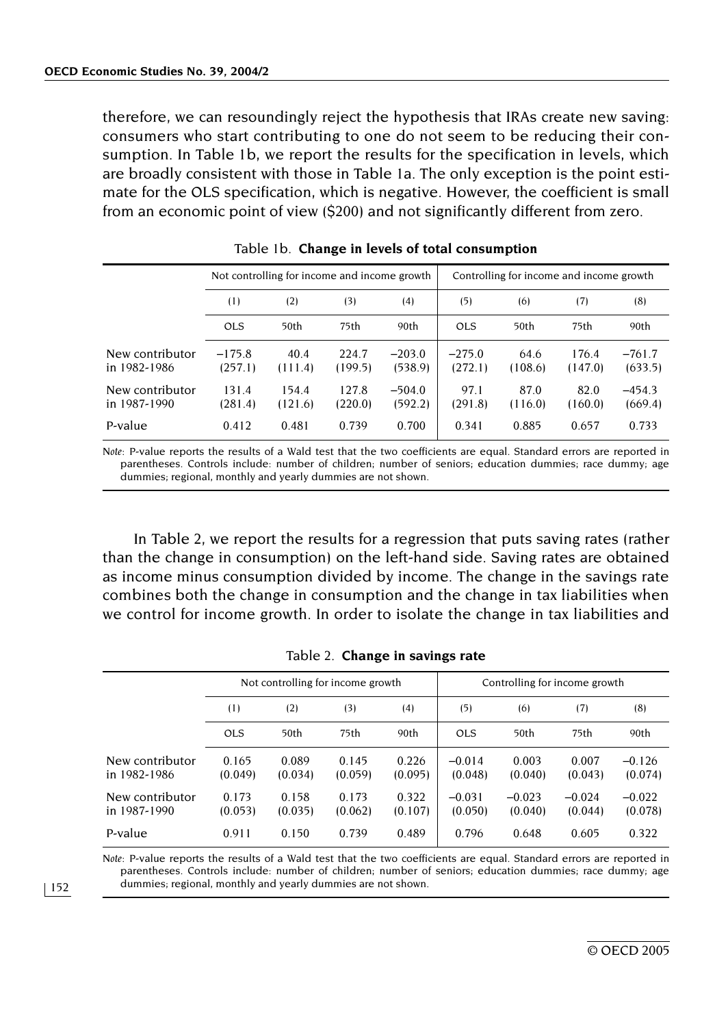therefore, we can resoundingly reject the hypothesis that IRAs create new saving: consumers who start contributing to one do not seem to be reducing their consumption. In Table 1b, we report the results for the specification in levels, which are broadly consistent with those in Table 1a. The only exception is the point estimate for the OLS specification, which is negative. However, the coefficient is small from an economic point of view (\$200) and not significantly different from zero.

|                                 |                     | Not controlling for income and income growth |                  |                     | Controlling for income and income growth |                 |                  |                     |
|---------------------------------|---------------------|----------------------------------------------|------------------|---------------------|------------------------------------------|-----------------|------------------|---------------------|
|                                 | (1)                 | (2)                                          | (3)              | (4)                 | (5)                                      | (6)             | (7)              | (8)                 |
|                                 | <b>OLS</b>          | 50th                                         | 75th             | 90th                | OLS                                      | 50th            | 75th             | 90th                |
| New contributor<br>in 1982-1986 | $-175.8$<br>(257.1) | 40.4<br>(111.4)                              | 224.7<br>(199.5) | $-203.0$<br>(538.9) | $-275.0$<br>(272.1)                      | 64.6<br>(108.6) | 176.4<br>(147.0) | $-761.7$<br>(633.5) |
| New contributor<br>in 1987-1990 | 131.4<br>(281.4)    | 154.4<br>(121.6)                             | 127.8<br>(220.0) | $-504.0$<br>(592.2) | 97.1<br>(291.8)                          | 87.0<br>(116.0) | 82.0<br>(160.0)  | $-454.3$<br>(669.4) |
| P-value                         | 0.412               | 0.481                                        | 0.739            | 0.700               | 0.341                                    | 0.885           | 0.657            | 0.733               |

| Table 1b. Change in levels of total consumption |  |  |  |  |  |  |
|-------------------------------------------------|--|--|--|--|--|--|
|-------------------------------------------------|--|--|--|--|--|--|

*Note: P-value reports the results of a Wald test that the two coefficients are equal. Standard errors are reported in* parentheses. Controls include: number of children; number of seniors; education dummies; race dummy; age dummies; regional, monthly and yearly dummies are not shown.

In Table 2, we report the results for a regression that puts saving rates (rather than the change in consumption) on the left-hand side. Saving rates are obtained as income minus consumption divided by income. The change in the savings rate combines both the change in consumption and the change in tax liabilities when we control for income growth. In order to isolate the change in tax liabilities and

|                                 |                  | Not controlling for income growth |                  |                  |                     | Controlling for income growth |                     |                     |  |
|---------------------------------|------------------|-----------------------------------|------------------|------------------|---------------------|-------------------------------|---------------------|---------------------|--|
|                                 | (1)              | (2)                               | (3)              | (4)              | (5)                 | (6)                           | (7)                 | (8)                 |  |
|                                 | <b>OLS</b>       | 50th                              | 75th             | 90th             | <b>OLS</b>          | 50th                          | 75th                | 90th                |  |
| New contributor<br>in 1982-1986 | 0.165<br>(0.049) | 0.089<br>(0.034)                  | 0.145<br>(0.059) | 0.226<br>(0.095) | $-0.014$<br>(0.048) | 0.003<br>(0.040)              | 0.007<br>(0.043)    | $-0.126$<br>(0.074) |  |
| New contributor<br>in 1987-1990 | 0.173<br>(0.053) | 0.158<br>(0.035)                  | 0.173<br>(0.062) | 0.322<br>(0.107) | $-0.031$<br>(0.050) | $-0.023$<br>(0.040)           | $-0.024$<br>(0.044) | $-0.022$<br>(0.078) |  |
| P-value                         | 0.911            | 0.150                             | 0.739            | 0.489            | 0.796               | 0.648                         | 0.605               | 0.322               |  |

Table 2. **Change in savings rate**

*Note: P-value reports the results of a Wald test that the two coefficients are equal. Standard errors are reported in* parentheses. Controls include: number of children; number of seniors; education dummies; race dummy; age dummies; regional, monthly and yearly dummies are not shown.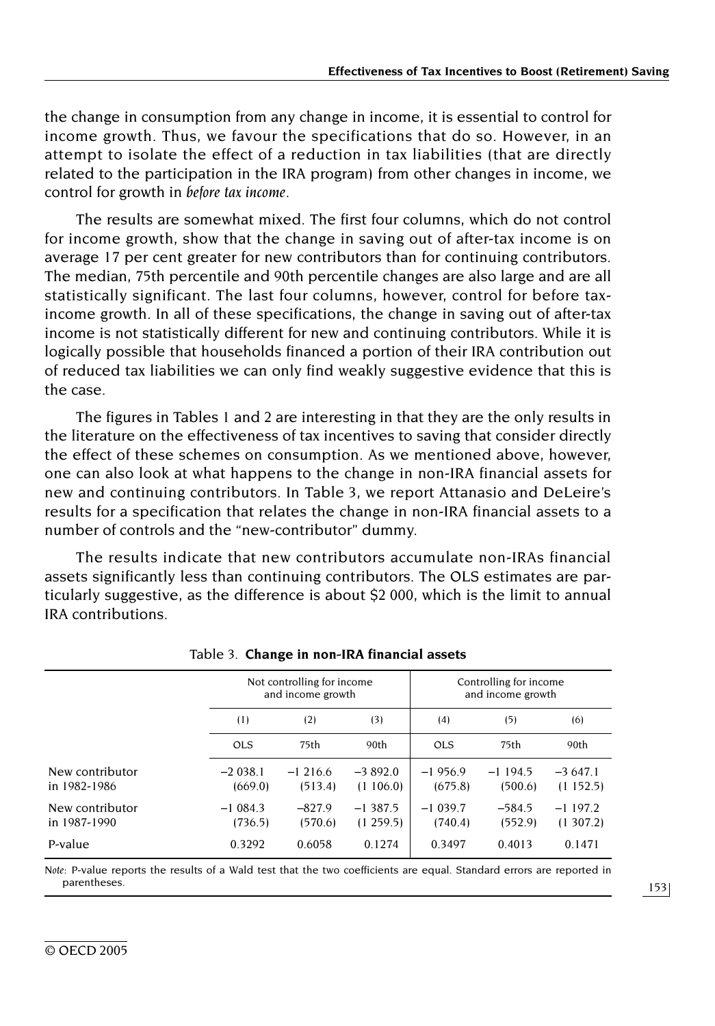the change in consumption from any change in income, it is essential to control for income growth. Thus, we favour the specifications that do so. However, in an attempt to isolate the effect of a reduction in tax liabilities (that are directly related to the participation in the IRA program) from other changes in income, we control for growth in *before tax income.*

The results are somewhat mixed. The first four columns, which do not control for income growth, show that the change in saving out of after-tax income is on average 17 per cent greater for new contributors than for continuing contributors. The median, 75th percentile and 90th percentile changes are also large and are all statistically significant. The last four columns, however, control for before taxincome growth. In all of these specifications, the change in saving out of after-tax income is not statistically different for new and continuing contributors. While it is logically possible that households financed a portion of their IRA contribution out of reduced tax liabilities we can only find weakly suggestive evidence that this is the case.

The figures in Tables 1 and 2 are interesting in that they are the only results in the literature on the effectiveness of tax incentives to saving that consider directly the effect of these schemes on consumption. As we mentioned above, however, one can also look at what happens to the change in non-IRA financial assets for new and continuing contributors. In Table 3, we report Attanasio and DeLeire's results for a specification that relates the change in non-IRA financial assets to a number of controls and the "new-contributor" dummy.

The results indicate that new contributors accumulate non-IRAs financial assets significantly less than continuing contributors. The OLS estimates are particularly suggestive, as the difference is about \$2 000, which is the limit to annual IRA contributions.

|                                 |                      | Not controlling for income<br>and income growth |                       |                      | Controlling for income<br>and income growth |                       |  |  |  |  |  |
|---------------------------------|----------------------|-------------------------------------------------|-----------------------|----------------------|---------------------------------------------|-----------------------|--|--|--|--|--|
|                                 | (1)                  | (2)                                             | (3)                   | (4)                  | (5)                                         | (6)                   |  |  |  |  |  |
|                                 | <b>OLS</b>           | 75th                                            | 90th                  | <b>OLS</b>           | 75th                                        | 90th                  |  |  |  |  |  |
| New contributor<br>in 1982-1986 | $-2038.1$<br>(669.0) | $-1216.6$<br>(513.4)                            | $-3892.0$<br>(1106.0) | $-1956.9$<br>(675.8) | $-1194.5$<br>(500.6)                        | $-3647.1$<br>(1152.5) |  |  |  |  |  |
| New contributor<br>in 1987-1990 | $-1084.3$<br>(736.5) | $-827.9$<br>(570.6)                             | $-1387.5$<br>(1259.5) | $-1039.7$<br>(740.4) | $-584.5$<br>(552.9)                         | $-1197.2$<br>(1307.2) |  |  |  |  |  |
| P-value                         | 0.3292               | 0.6058                                          | 0.1274                | 0.3497               | 0.4013                                      | 0.1471                |  |  |  |  |  |

#### Table 3. **Change in non-IRA financial assets**

*Note: P-value reports the results of a Wald test that the two coefficients are equal. Standard errors are reported in* parentheses.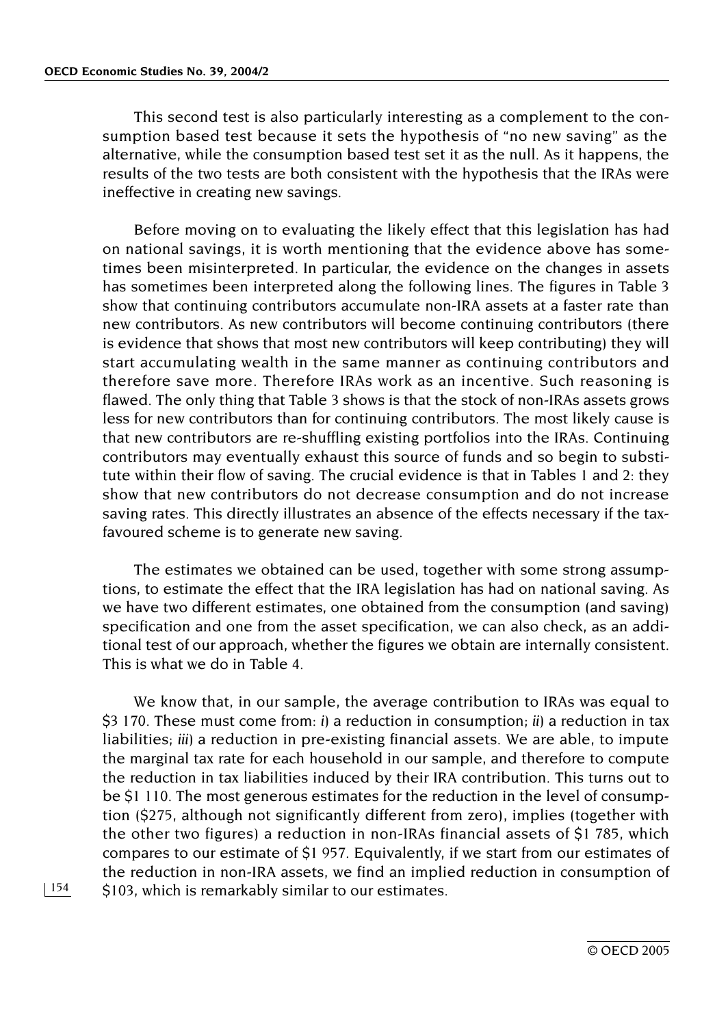This second test is also particularly interesting as a complement to the consumption based test because it sets the hypothesis of "no new saving" as the alternative, while the consumption based test set it as the null. As it happens, the results of the two tests are both consistent with the hypothesis that the IRAs were ineffective in creating new savings.

Before moving on to evaluating the likely effect that this legislation has had on national savings, it is worth mentioning that the evidence above has sometimes been misinterpreted. In particular, the evidence on the changes in assets has sometimes been interpreted along the following lines. The figures in Table 3 show that continuing contributors accumulate non-IRA assets at a faster rate than new contributors. As new contributors will become continuing contributors (there is evidence that shows that most new contributors will keep contributing) they will start accumulating wealth in the same manner as continuing contributors and therefore save more. Therefore IRAs work as an incentive. Such reasoning is flawed. The only thing that Table 3 shows is that the stock of non-IRAs assets grows less for new contributors than for continuing contributors. The most likely cause is that new contributors are re-shuffling existing portfolios into the IRAs. Continuing contributors may eventually exhaust this source of funds and so begin to substitute within their flow of saving. The crucial evidence is that in Tables 1 and 2: they show that new contributors do not decrease consumption and do not increase saving rates. This directly illustrates an absence of the effects necessary if the taxfavoured scheme is to generate new saving.

The estimates we obtained can be used, together with some strong assumptions, to estimate the effect that the IRA legislation has had on national saving. As we have two different estimates, one obtained from the consumption (and saving) specification and one from the asset specification, we can also check, as an additional test of our approach, whether the figures we obtain are internally consistent. This is what we do in Table 4.

We know that, in our sample, the average contribution to IRAs was equal to \$3 170. These must come from: *i)* a reduction in consumption; *ii)* a reduction in tax liabilities; *iii)* a reduction in pre-existing financial assets. We are able, to impute the marginal tax rate for each household in our sample, and therefore to compute the reduction in tax liabilities induced by their IRA contribution. This turns out to be \$1 110. The most generous estimates for the reduction in the level of consumption (\$275, although not significantly different from zero), implies (together with the other two figures) a reduction in non-IRAs financial assets of \$1 785, which compares to our estimate of \$1 957. Equivalently, if we start from our estimates of the reduction in non-IRA assets, we find an implied reduction in consumption of \$103, which is remarkably similar to our estimates.

© OECD 2005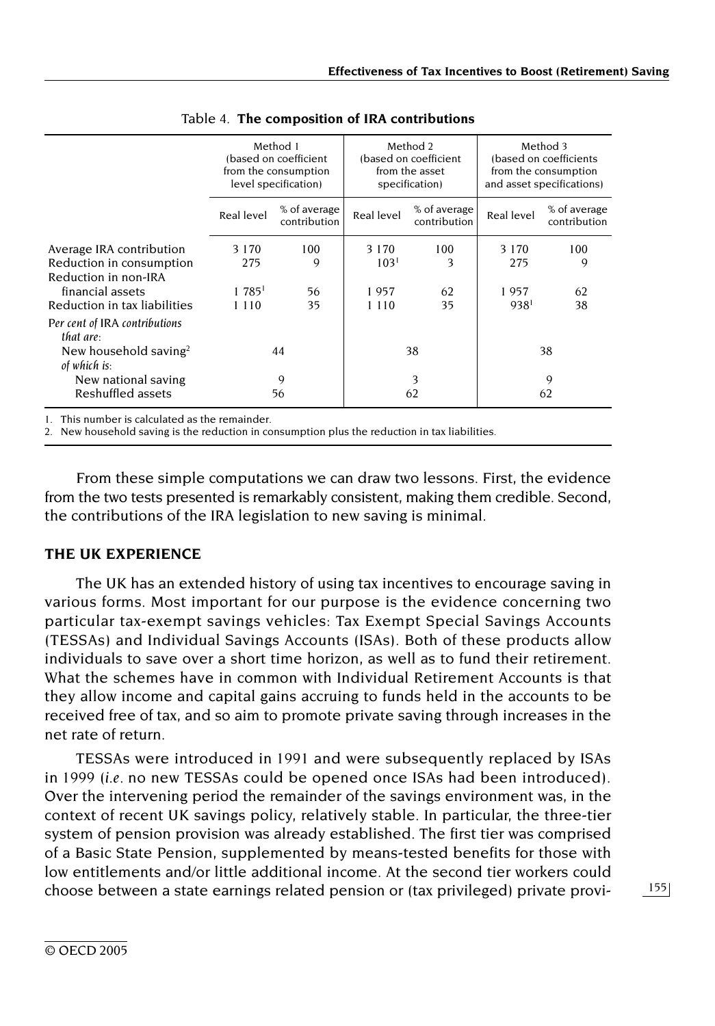|                                                   | Method 1<br>(based on coefficient<br>from the consumption<br>level specification) |                              |                  | Method 2<br>(based on coefficient<br>from the asset<br>specification) | Method 3<br>(based on coefficients)<br>from the consumption<br>and asset specifications) |                              |
|---------------------------------------------------|-----------------------------------------------------------------------------------|------------------------------|------------------|-----------------------------------------------------------------------|------------------------------------------------------------------------------------------|------------------------------|
|                                                   | Real level                                                                        | % of average<br>contribution | Real level       | % of average<br>contribution                                          | Real level                                                                               | % of average<br>contribution |
| Average IRA contribution                          | 3 1 7 0                                                                           | 100                          | 3 1 7 0          | 100                                                                   | 3 1 7 0                                                                                  | 100                          |
| Reduction in consumption                          | 275                                                                               | 9                            | 103 <sup>1</sup> | 3                                                                     | 275                                                                                      | 9                            |
| Reduction in non-IRA                              |                                                                                   |                              |                  |                                                                       |                                                                                          |                              |
| financial assets                                  | 1785 <sup>1</sup>                                                                 | 56                           | 1957             | 62                                                                    | 1957                                                                                     | 62                           |
| Reduction in tax liabilities                      | 1 1 1 0                                                                           | 35                           | 1 1 1 0          | 35                                                                    | 938                                                                                      | 38                           |
| Per cent of IRA contributions<br>that are:        |                                                                                   |                              |                  |                                                                       |                                                                                          |                              |
| New household saving <sup>2</sup><br>of which is: | 44                                                                                |                              | 38               |                                                                       | 38                                                                                       |                              |
| New national saving                               |                                                                                   | 9                            |                  | 3                                                                     |                                                                                          | 9                            |
| Reshuffled assets                                 |                                                                                   | 56                           |                  | 62                                                                    |                                                                                          | 62                           |

|  |  | Table 4. The composition of IRA contributions |
|--|--|-----------------------------------------------|
|  |  |                                               |

*1.* This number is calculated as the remainder.

*2.* New household saving is the reduction in consumption plus the reduction in tax liabilities.

From these simple computations we can draw two lessons. First, the evidence from the two tests presented is remarkably consistent, making them credible. Second, the contributions of the IRA legislation to new saving is minimal.

### **THE UK EXPERIENCE**

The UK has an extended history of using tax incentives to encourage saving in various forms. Most important for our purpose is the evidence concerning two particular tax-exempt savings vehicles: Tax Exempt Special Savings Accounts (TESSAs) and Individual Savings Accounts (ISAs). Both of these products allow individuals to save over a short time horizon, as well as to fund their retirement. What the schemes have in common with Individual Retirement Accounts is that they allow income and capital gains accruing to funds held in the accounts to be received free of tax, and so aim to promote private saving through increases in the net rate of return.

TESSAs were introduced in 1991 and were subsequently replaced by ISAs in 1999 (*i.e.* no new TESSAs could be opened once ISAs had been introduced). Over the intervening period the remainder of the savings environment was, in the context of recent UK savings policy, relatively stable. In particular, the three-tier system of pension provision was already established. The first tier was comprised of a Basic State Pension, supplemented by means-tested benefits for those with low entitlements and/or little additional income. At the second tier workers could choose between a state earnings related pension or (tax privileged) private provi-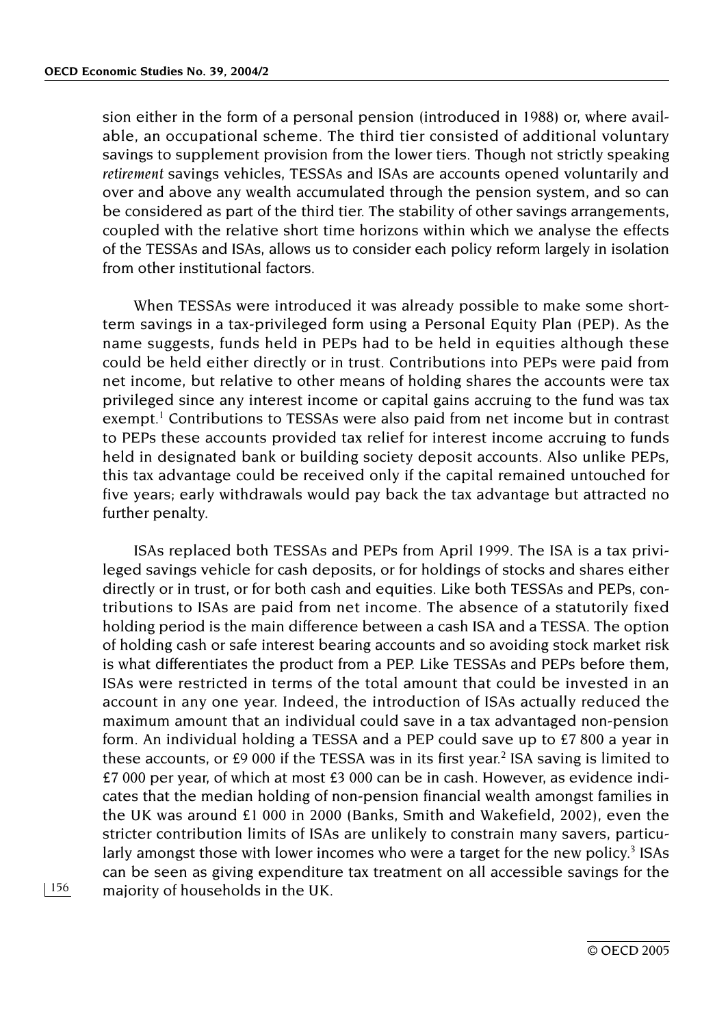sion either in the form of a personal pension (introduced in 1988) or, where available, an occupational scheme. The third tier consisted of additional voluntary savings to supplement provision from the lower tiers. Though not strictly speaking *retirement* savings vehicles, TESSAs and ISAs are accounts opened voluntarily and over and above any wealth accumulated through the pension system, and so can be considered as part of the third tier. The stability of other savings arrangements, coupled with the relative short time horizons within which we analyse the effects of the TESSAs and ISAs, allows us to consider each policy reform largely in isolation from other institutional factors.

When TESSAs were introduced it was already possible to make some shortterm savings in a tax-privileged form using a Personal Equity Plan (PEP). As the name suggests, funds held in PEPs had to be held in equities although these could be held either directly or in trust. Contributions into PEPs were paid from net income, but relative to other means of holding shares the accounts were tax privileged since any interest income or capital gains accruing to the fund was tax exempt.<sup>1</sup> Contributions to TESSAs were also paid from net income but in contrast to PEPs these accounts provided tax relief for interest income accruing to funds held in designated bank or building society deposit accounts. Also unlike PEPs, this tax advantage could be received only if the capital remained untouched for five years; early withdrawals would pay back the tax advantage but attracted no further penalty.

ISAs replaced both TESSAs and PEPs from April 1999. The ISA is a tax privileged savings vehicle for cash deposits, or for holdings of stocks and shares either directly or in trust, or for both cash and equities. Like both TESSAs and PEPs, contributions to ISAs are paid from net income. The absence of a statutorily fixed holding period is the main difference between a cash ISA and a TESSA. The option of holding cash or safe interest bearing accounts and so avoiding stock market risk is what differentiates the product from a PEP. Like TESSAs and PEPs before them, ISAs were restricted in terms of the total amount that could be invested in an account in any one year. Indeed, the introduction of ISAs actually reduced the maximum amount that an individual could save in a tax advantaged non-pension form. An individual holding a TESSA and a PEP could save up to £7 800 a year in these accounts, or  $£9000$  if the TESSA was in its first year.<sup>2</sup> ISA saving is limited to £7 000 per year, of which at most £3 000 can be in cash. However, as evidence indicates that the median holding of non-pension financial wealth amongst families in the UK was around £1 000 in 2000 (Banks, Smith and Wakefield, 2002), even the stricter contribution limits of ISAs are unlikely to constrain many savers, particularly amongst those with lower incomes who were a target for the new policy.<sup>3</sup> ISAs can be seen as giving expenditure tax treatment on all accessible savings for the majority of households in the UK.

156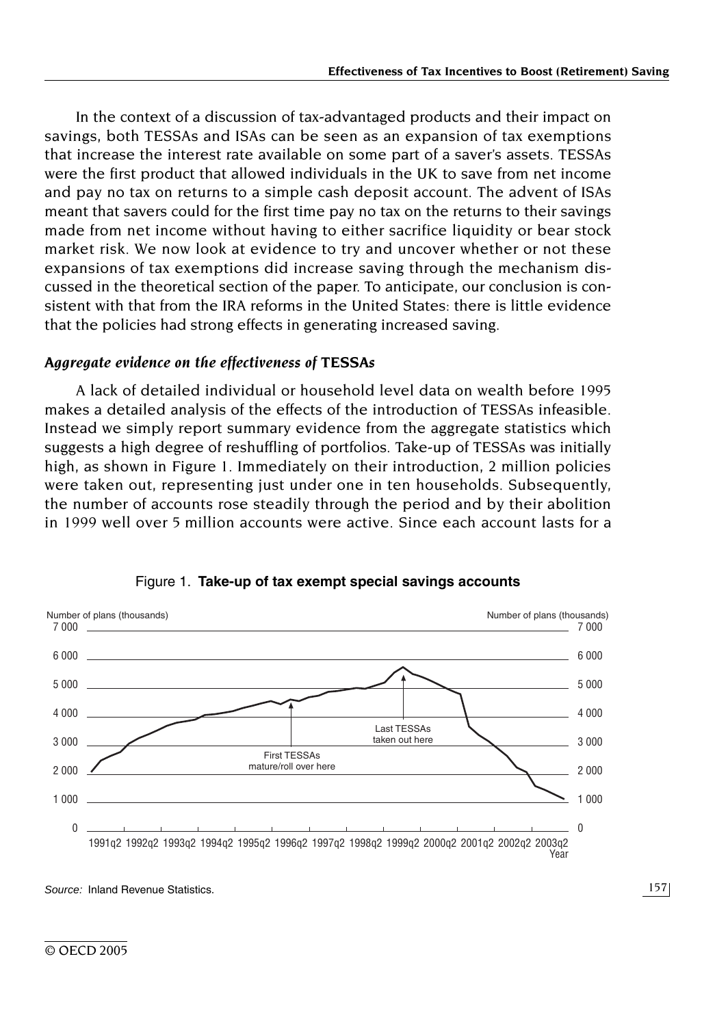In the context of a discussion of tax-advantaged products and their impact on savings, both TESSAs and ISAs can be seen as an expansion of tax exemptions that increase the interest rate available on some part of a saver's assets. TESSAs were the first product that allowed individuals in the UK to save from net income and pay no tax on returns to a simple cash deposit account. The advent of ISAs meant that savers could for the first time pay no tax on the returns to their savings made from net income without having to either sacrifice liquidity or bear stock market risk. We now look at evidence to try and uncover whether or not these expansions of tax exemptions did increase saving through the mechanism discussed in the theoretical section of the paper. To anticipate, our conclusion is consistent with that from the IRA reforms in the United States: there is little evidence that the policies had strong effects in generating increased saving.

# *Aggregate evidence on the effectiveness of TESSAs*

A lack of detailed individual or household level data on wealth before 1995 makes a detailed analysis of the effects of the introduction of TESSAs infeasible. Instead we simply report summary evidence from the aggregate statistics which suggests a high degree of reshuffling of portfolios. Take-up of TESSAs was initially high, as shown in Figure 1. Immediately on their introduction, 2 million policies were taken out, representing just under one in ten households. Subsequently, the number of accounts rose steadily through the period and by their abolition in 1999 well over 5 million accounts were active. Since each account lasts for a



Figure 1. **Take-up of tax exempt special savings accounts**

*Source:* Inland Revenue Statistics.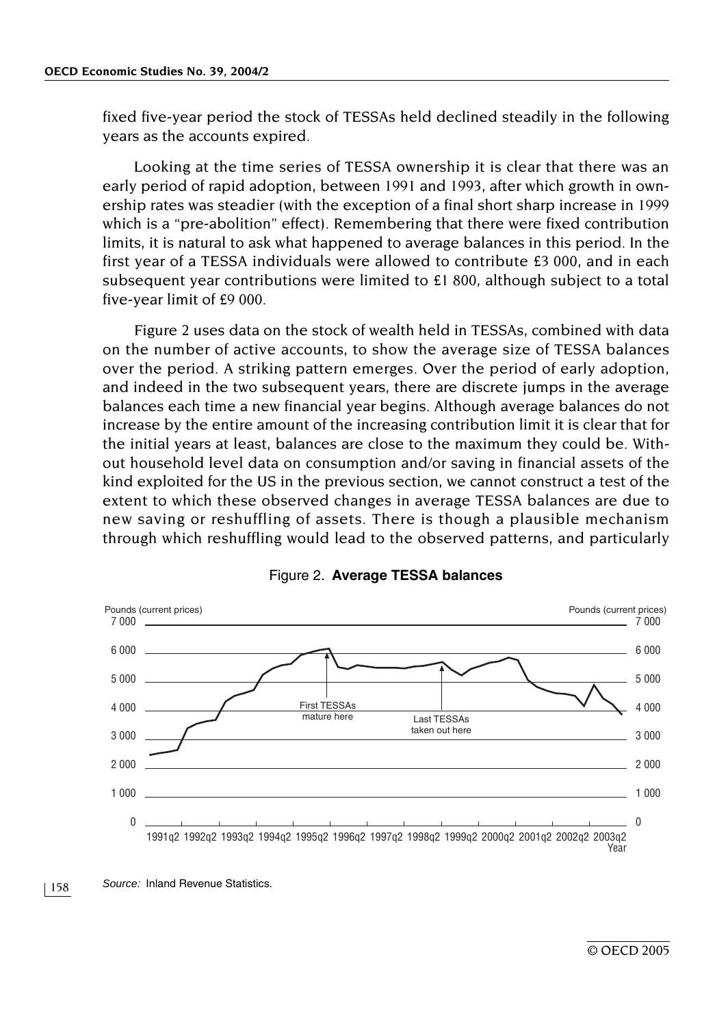fixed five-year period the stock of TESSAs held declined steadily in the following years as the accounts expired.

Looking at the time series of TESSA ownership it is clear that there was an early period of rapid adoption, between 1991 and 1993, after which growth in ownership rates was steadier (with the exception of a final short sharp increase in 1999 which is a "pre-abolition" effect). Remembering that there were fixed contribution limits, it is natural to ask what happened to average balances in this period. In the first year of a TESSA individuals were allowed to contribute £3 000, and in each subsequent year contributions were limited to £1 800, although subject to a total five-year limit of £9 000.

Figure 2 uses data on the stock of wealth held in TESSAs, combined with data on the number of active accounts, to show the average size of TESSA balances over the period. A striking pattern emerges. Over the period of early adoption, and indeed in the two subsequent years, there are discrete jumps in the average balances each time a new financial year begins. Although average balances do not increase by the entire amount of the increasing contribution limit it is clear that for the initial years at least, balances are close to the maximum they could be. Without household level data on consumption and/or saving in financial assets of the kind exploited for the US in the previous section, we cannot construct a test of the extent to which these observed changes in average TESSA balances are due to new saving or reshuffling of assets. There is though a plausible mechanism through which reshuffling would lead to the observed patterns, and particularly



#### Figure 2. **Average TESSA balances**

158 *Source:* Inland Revenue Statistics.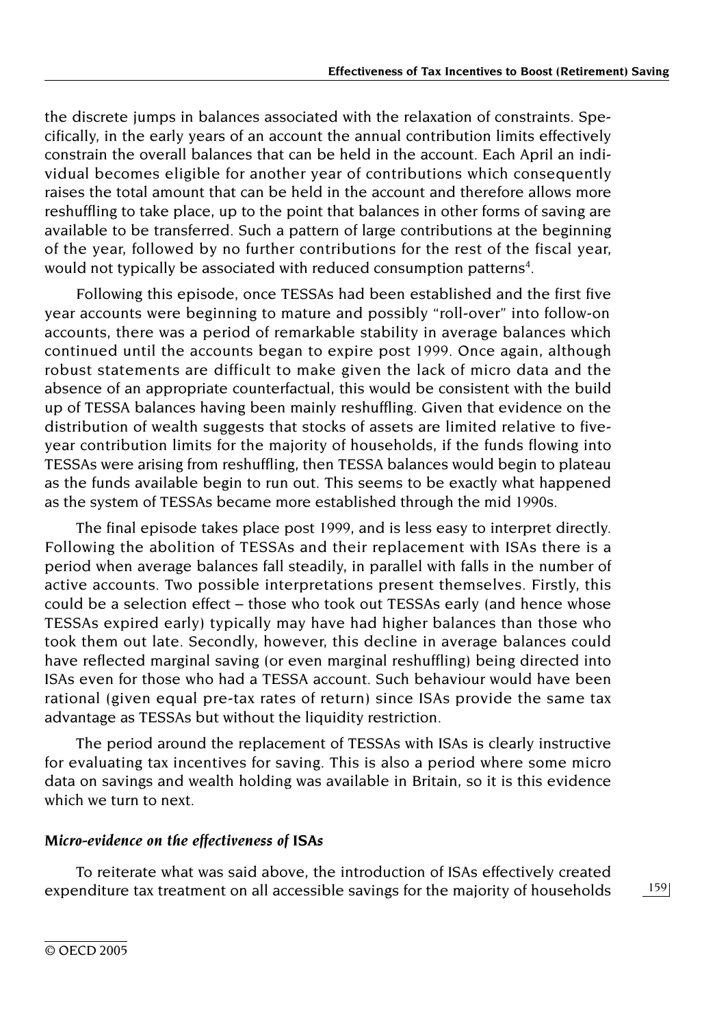the discrete jumps in balances associated with the relaxation of constraints. Specifically, in the early years of an account the annual contribution limits effectively constrain the overall balances that can be held in the account. Each April an individual becomes eligible for another year of contributions which consequently raises the total amount that can be held in the account and therefore allows more reshuffling to take place, up to the point that balances in other forms of saving are available to be transferred. Such a pattern of large contributions at the beginning of the year, followed by no further contributions for the rest of the fiscal year, would not typically be associated with reduced consumption patterns<sup>4</sup>.

Following this episode, once TESSAs had been established and the first five year accounts were beginning to mature and possibly "roll-over" into follow-on accounts, there was a period of remarkable stability in average balances which continued until the accounts began to expire post 1999. Once again, although robust statements are difficult to make given the lack of micro data and the absence of an appropriate counterfactual, this would be consistent with the build up of TESSA balances having been mainly reshuffling. Given that evidence on the distribution of wealth suggests that stocks of assets are limited relative to fiveyear contribution limits for the majority of households, if the funds flowing into TESSAs were arising from reshuffling, then TESSA balances would begin to plateau as the funds available begin to run out. This seems to be exactly what happened as the system of TESSAs became more established through the mid 1990s.

The final episode takes place post 1999, and is less easy to interpret directly. Following the abolition of TESSAs and their replacement with ISAs there is a period when average balances fall steadily, in parallel with falls in the number of active accounts. Two possible interpretations present themselves. Firstly, this could be a selection effect – those who took out TESSAs early (and hence whose TESSAs expired early) typically may have had higher balances than those who took them out late. Secondly, however, this decline in average balances could have reflected marginal saving (or even marginal reshuffling) being directed into ISAs even for those who had a TESSA account. Such behaviour would have been rational (given equal pre-tax rates of return) since ISAs provide the same tax advantage as TESSAs but without the liquidity restriction.

The period around the replacement of TESSAs with ISAs is clearly instructive for evaluating tax incentives for saving. This is also a period where some micro data on savings and wealth holding was available in Britain, so it is this evidence which we turn to next.

### *Micro-evidence on the effectiveness of ISAs*

To reiterate what was said above, the introduction of ISAs effectively created expenditure tax treatment on all accessible savings for the majority of households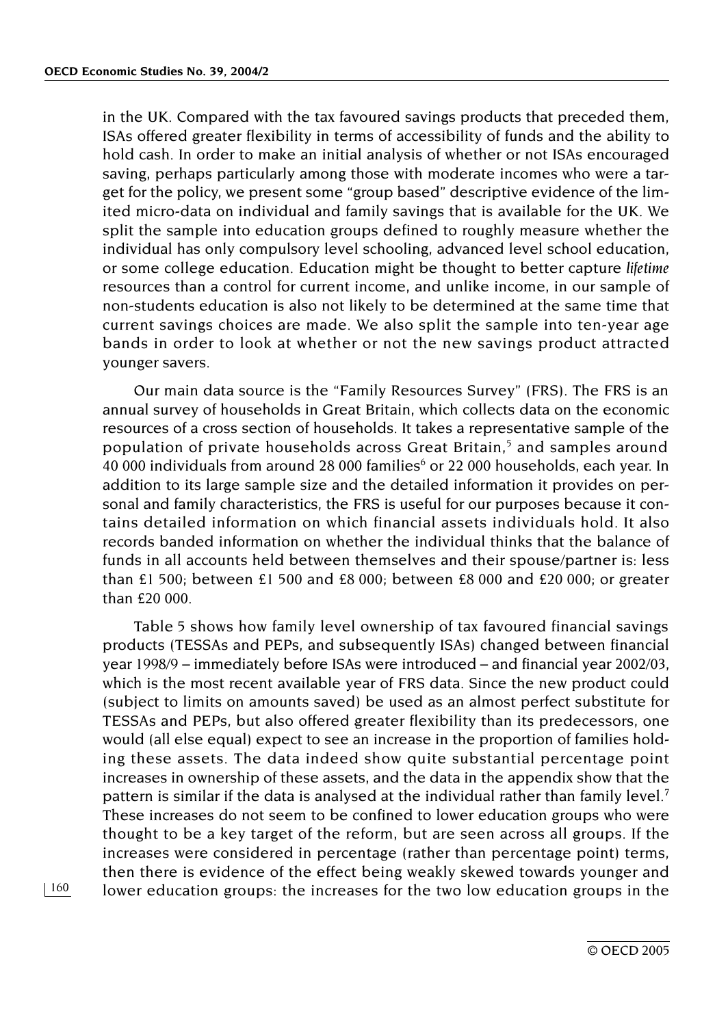in the UK. Compared with the tax favoured savings products that preceded them, ISAs offered greater flexibility in terms of accessibility of funds and the ability to hold cash. In order to make an initial analysis of whether or not ISAs encouraged saving, perhaps particularly among those with moderate incomes who were a target for the policy, we present some "group based" descriptive evidence of the limited micro-data on individual and family savings that is available for the UK. We split the sample into education groups defined to roughly measure whether the individual has only compulsory level schooling, advanced level school education, or some college education. Education might be thought to better capture *lifetime* resources than a control for current income, and unlike income, in our sample of non-students education is also not likely to be determined at the same time that current savings choices are made. We also split the sample into ten-year age bands in order to look at whether or not the new savings product attracted younger savers.

Our main data source is the "Family Resources Survey" (FRS). The FRS is an annual survey of households in Great Britain, which collects data on the economic resources of a cross section of households. It takes a representative sample of the population of private households across Great Britain, $5$  and samples around 40 000 individuals from around 28 000 families $6$  or 22 000 households, each year. In addition to its large sample size and the detailed information it provides on personal and family characteristics, the FRS is useful for our purposes because it contains detailed information on which financial assets individuals hold. It also records banded information on whether the individual thinks that the balance of funds in all accounts held between themselves and their spouse/partner is: less than £1 500; between £1 500 and £8 000; between £8 000 and £20 000; or greater than £20 000.

Table 5 shows how family level ownership of tax favoured financial savings products (TESSAs and PEPs, and subsequently ISAs) changed between financial year 1998/9 – immediately before ISAs were introduced – and financial year 2002/03, which is the most recent available year of FRS data. Since the new product could (subject to limits on amounts saved) be used as an almost perfect substitute for TESSAs and PEPs, but also offered greater flexibility than its predecessors, one would (all else equal) expect to see an increase in the proportion of families holding these assets. The data indeed show quite substantial percentage point increases in ownership of these assets, and the data in the appendix show that the pattern is similar if the data is analysed at the individual rather than family level.<sup>7</sup> These increases do not seem to be confined to lower education groups who were thought to be a key target of the reform, but are seen across all groups. If the increases were considered in percentage (rather than percentage point) terms, then there is evidence of the effect being weakly skewed towards younger and lower education groups: the increases for the two low education groups in the

© OECD 2005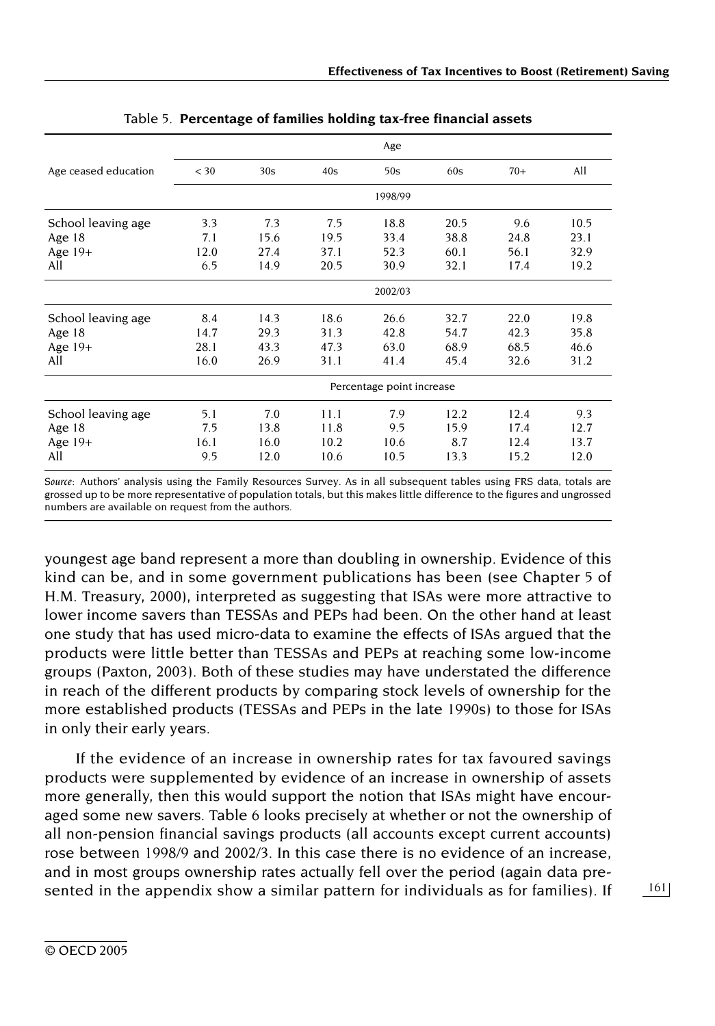|                                                    |                             |                              |                              | Age                          |                              |                              |                              |
|----------------------------------------------------|-----------------------------|------------------------------|------------------------------|------------------------------|------------------------------|------------------------------|------------------------------|
| Age ceased education                               | $<$ 30                      | 30s                          | 40s                          | 50s                          | 60s                          | $70+$                        | All                          |
|                                                    |                             |                              |                              | 1998/99                      |                              |                              |                              |
| School leaving age<br>Age $18$<br>Age $19+$<br>All | 3.3<br>7.1<br>12.0<br>6.5   | 7.3<br>15.6<br>27.4<br>14.9  | 7.5<br>19.5<br>37.1<br>20.5  | 18.8<br>33.4<br>52.3<br>30.9 | 20.5<br>38.8<br>60.1<br>32.1 | 9.6<br>24.8<br>56.1<br>17.4  | 10.5<br>23.1<br>32.9<br>19.2 |
|                                                    |                             |                              |                              | 2002/03                      |                              |                              |                              |
| School leaving age<br>Age $18$<br>Age $19+$<br>All | 8.4<br>14.7<br>28.1<br>16.0 | 14.3<br>29.3<br>43.3<br>26.9 | 18.6<br>31.3<br>47.3<br>31.1 | 26.6<br>42.8<br>63.0<br>41.4 | 32.7<br>54.7<br>68.9<br>45.4 | 22.0<br>42.3<br>68.5<br>32.6 | 19.8<br>35.8<br>46.6<br>31.2 |
|                                                    |                             |                              |                              | Percentage point increase    |                              |                              |                              |
| School leaving age<br>Age $18$<br>Age 19+<br>All   | 5.1<br>7.5<br>16.1<br>9.5   | 7.0<br>13.8<br>16.0<br>12.0  | 11.1<br>11.8<br>10.2<br>10.6 | 7.9<br>9.5<br>10.6<br>10.5   | 12.2<br>15.9<br>8.7<br>13.3  | 12.4<br>17.4<br>12.4<br>15.2 | 9.3<br>12.7<br>13.7<br>12.0  |

|  | Table 5. Percentage of families holding tax-free financial assets |  |  |  |  |  |
|--|-------------------------------------------------------------------|--|--|--|--|--|
|--|-------------------------------------------------------------------|--|--|--|--|--|

*Source:* Authors' analysis using the Family Resources Survey. As in all subsequent tables using FRS data, totals are grossed up to be more representative of population totals, but this makes little difference to the figures and ungrossed numbers are available on request from the authors.

youngest age band represent a more than doubling in ownership. Evidence of this kind can be, and in some government publications has been (see Chapter 5 of H.M. Treasury, 2000), interpreted as suggesting that ISAs were more attractive to lower income savers than TESSAs and PEPs had been. On the other hand at least one study that has used micro-data to examine the effects of ISAs argued that the products were little better than TESSAs and PEPs at reaching some low-income groups (Paxton, 2003). Both of these studies may have understated the difference in reach of the different products by comparing stock levels of ownership for the more established products (TESSAs and PEPs in the late 1990s) to those for ISAs in only their early years.

If the evidence of an increase in ownership rates for tax favoured savings products were supplemented by evidence of an increase in ownership of assets more generally, then this would support the notion that ISAs might have encouraged some new savers. Table 6 looks precisely at whether or not the ownership of all non-pension financial savings products (all accounts except current accounts) rose between 1998/9 and 2002/3. In this case there is no evidence of an increase, and in most groups ownership rates actually fell over the period (again data presented in the appendix show a similar pattern for individuals as for families). If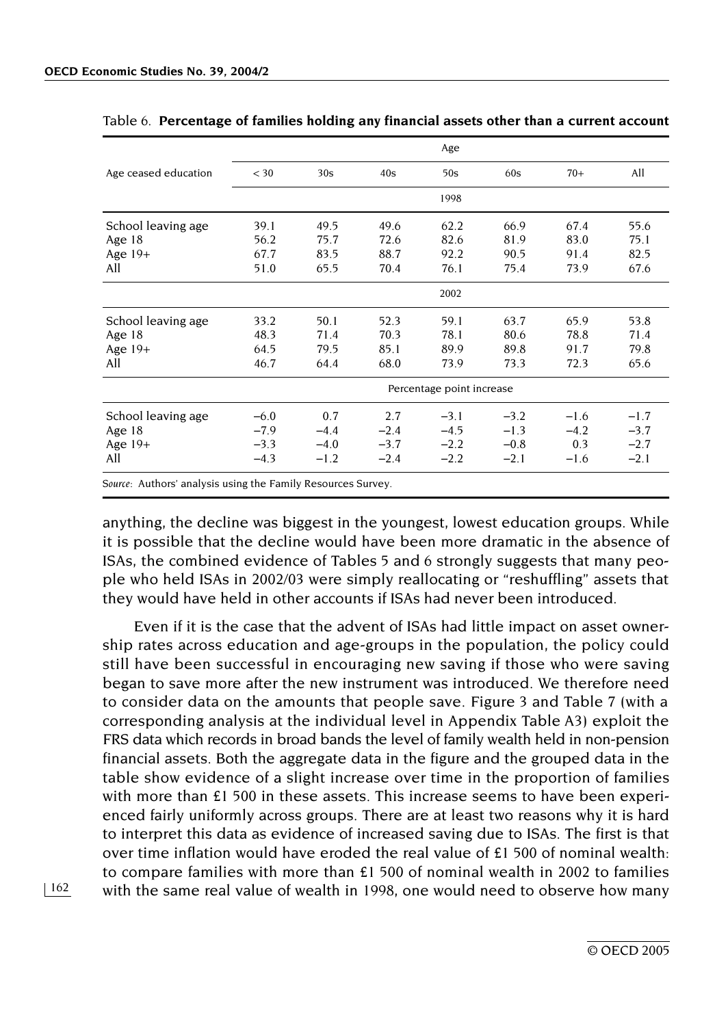|                      |                           |        |        | Age    |        |        |        |  |  |  |  |  |
|----------------------|---------------------------|--------|--------|--------|--------|--------|--------|--|--|--|--|--|
| Age ceased education | $<$ 30                    | 30s    | 40s    | 50s    | 60s    | $70+$  | All    |  |  |  |  |  |
|                      |                           |        |        | 1998   |        |        |        |  |  |  |  |  |
| School leaving age   | 39.1                      | 49.5   | 49.6   | 62.2   | 66.9   | 67.4   | 55.6   |  |  |  |  |  |
| Age 18               | 56.2                      | 75.7   | 72.6   | 82.6   | 81.9   | 83.0   | 75.1   |  |  |  |  |  |
| Age $19+$            | 67.7                      | 83.5   | 88.7   | 92.2   | 90.5   | 91.4   | 82.5   |  |  |  |  |  |
| All                  | 51.0                      | 65.5   | 70.4   | 76.1   | 75.4   | 73.9   | 67.6   |  |  |  |  |  |
|                      |                           |        |        | 2002   |        |        |        |  |  |  |  |  |
| School leaving age   | 33.2                      | 50.1   | 52.3   | 59.1   | 63.7   | 65.9   | 53.8   |  |  |  |  |  |
| Age $18$             | 48.3                      | 71.4   | 70.3   | 78.1   | 80.6   | 78.8   | 71.4   |  |  |  |  |  |
| Age $19+$            | 64.5                      | 79.5   | 85.1   | 89.9   | 89.8   | 91.7   | 79.8   |  |  |  |  |  |
| All                  | 46.7                      | 64.4   | 68.0   | 73.9   | 73.3   | 72.3   | 65.6   |  |  |  |  |  |
|                      | Percentage point increase |        |        |        |        |        |        |  |  |  |  |  |
| School leaving age   | $-6.0$                    | 0.7    | 2.7    | $-3.1$ | $-3.2$ | $-1.6$ | $-1.7$ |  |  |  |  |  |
| Age $18$             | $-7.9$                    | $-4.4$ | $-2.4$ | $-4.5$ | $-1.3$ | $-4.2$ | $-3.7$ |  |  |  |  |  |
| Age $19+$            | $-3.3$                    | $-4.0$ | $-3.7$ | $-2.2$ | $-0.8$ | 0.3    | $-2.7$ |  |  |  |  |  |
| All                  | $-4.3$                    | $-1.2$ | $-2.4$ | $-2.2$ | $-2.1$ | $-1.6$ | $-2.1$ |  |  |  |  |  |
|                      |                           |        |        |        |        |        |        |  |  |  |  |  |

#### Table 6. **Percentage of families holding any financial assets other than a current account**

*Source:* Authors' analysis using the Family Resources Survey.

anything, the decline was biggest in the youngest, lowest education groups. While it is possible that the decline would have been more dramatic in the absence of ISAs, the combined evidence of Tables 5 and 6 strongly suggests that many people who held ISAs in 2002/03 were simply reallocating or "reshuffling" assets that they would have held in other accounts if ISAs had never been introduced.

Even if it is the case that the advent of ISAs had little impact on asset ownership rates across education and age-groups in the population, the policy could still have been successful in encouraging new saving if those who were saving began to save more after the new instrument was introduced. We therefore need to consider data on the amounts that people save. Figure 3 and Table 7 (with a corresponding analysis at the individual level in Appendix Table A3) exploit the FRS data which records in broad bands the level of family wealth held in non-pension financial assets. Both the aggregate data in the figure and the grouped data in the table show evidence of a slight increase over time in the proportion of families with more than £1 500 in these assets. This increase seems to have been experienced fairly uniformly across groups. There are at least two reasons why it is hard to interpret this data as evidence of increased saving due to ISAs. The first is that over time inflation would have eroded the real value of £1 500 of nominal wealth: to compare families with more than £1 500 of nominal wealth in 2002 to families with the same real value of wealth in 1998, one would need to observe how many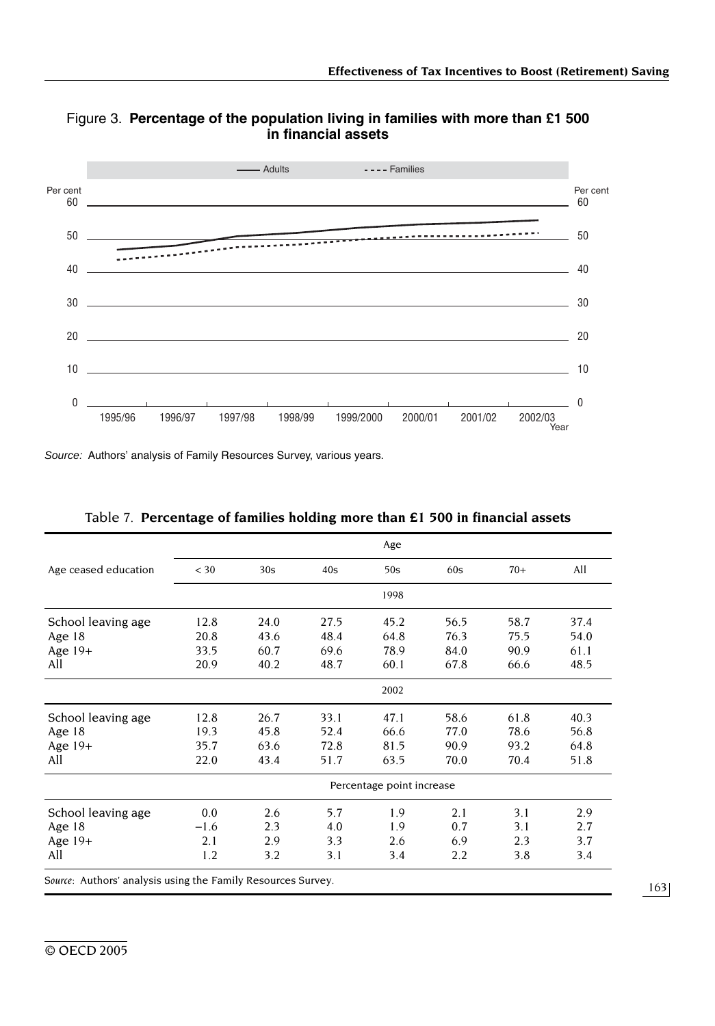

Figure 3. **Percentage of the population living in families with more than £1 500 in financial assets**

*Source:* Authors' analysis of Family Resources Survey, various years.

| $<$ 30 | 30s  |      |                                                              |      |                           |      |
|--------|------|------|--------------------------------------------------------------|------|---------------------------|------|
|        |      | 40s  | 50s                                                          | 60s  | $70+$                     | All  |
|        |      |      | 1998                                                         |      |                           |      |
| 12.8   | 24.0 | 27.5 | 45.2                                                         | 56.5 | 58.7                      | 37.4 |
| 20.8   | 43.6 | 48.4 | 64.8                                                         | 76.3 | 75.5                      | 54.0 |
| 33.5   | 60.7 | 69.6 | 78.9                                                         | 84.0 | 90.9                      | 61.1 |
| 20.9   | 40.2 | 48.7 | 60.1                                                         | 67.8 | 66.6                      | 48.5 |
|        |      |      | 2002                                                         |      |                           |      |
| 12.8   | 26.7 | 33.1 | 47.1                                                         | 58.6 | 61.8                      | 40.3 |
| 19.3   | 45.8 | 52.4 | 66.6                                                         | 77.0 | 78.6                      | 56.8 |
| 35.7   | 63.6 | 72.8 | 81.5                                                         | 90.9 | 93.2                      | 64.8 |
| 22.0   | 43.4 | 51.7 | 63.5                                                         | 70.0 | 70.4                      | 51.8 |
|        |      |      |                                                              |      |                           |      |
| 0.0    | 2.6  | 5.7  | 1.9                                                          | 2.1  | 3.1                       | 2.9  |
| $-1.6$ | 2.3  | 4.0  | 1.9                                                          | 0.7  | 3.1                       | 2.7  |
| 2.1    | 2.9  | 3.3  | 2.6                                                          | 6.9  | 2.3                       | 3.7  |
| 1.2    | 3.2  | 3.1  | 3.4                                                          | 2.2  | 3.8                       | 3.4  |
|        |      |      | Source: Authors' analysis using the Family Resources Survey. |      | Percentage point increase |      |

|  | Table 7. Percentage of families holding more than £1 500 in financial assets |  |  |  |  |
|--|------------------------------------------------------------------------------|--|--|--|--|
|  |                                                                              |  |  |  |  |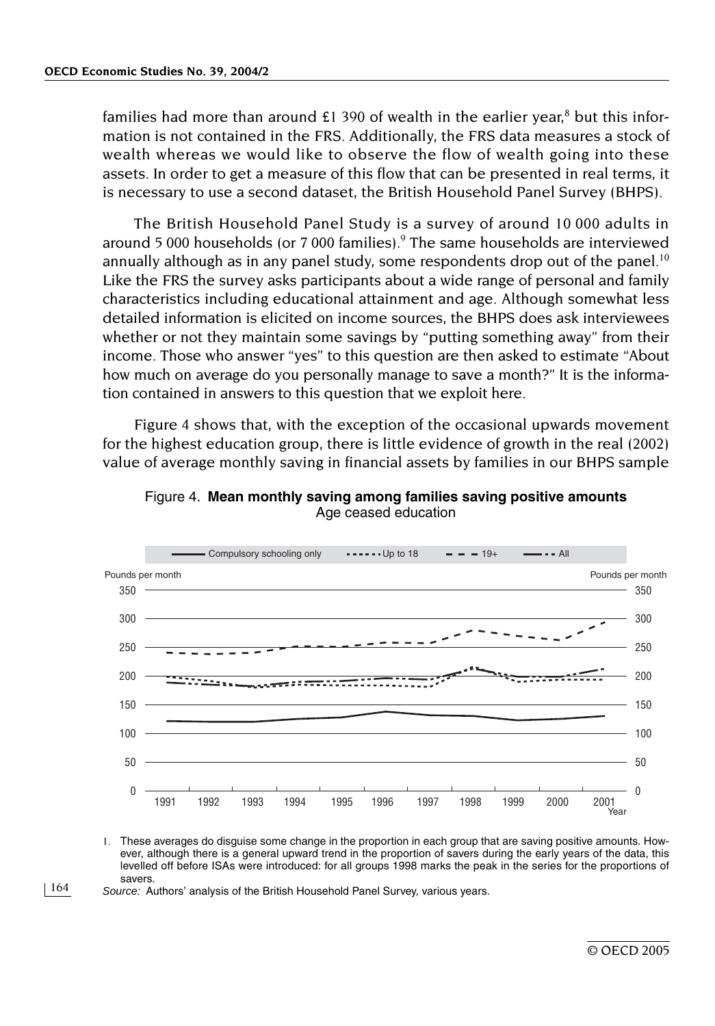families had more than around £1 390 of wealth in the earlier year,<sup>8</sup> but this information is not contained in the FRS. Additionally, the FRS data measures a stock of wealth whereas we would like to observe the flow of wealth going into these assets. In order to get a measure of this flow that can be presented in real terms, it is necessary to use a second dataset, the British Household Panel Survey (BHPS).

The British Household Panel Study is a survey of around 10 000 adults in around 5 000 households (or 7 000 families). $9$  The same households are interviewed annually although as in any panel study, some respondents drop out of the panel.<sup>10</sup> Like the FRS the survey asks participants about a wide range of personal and family characteristics including educational attainment and age. Although somewhat less detailed information is elicited on income sources, the BHPS does ask interviewees whether or not they maintain some savings by "putting something away" from their income. Those who answer "yes" to this question are then asked to estimate "About how much on average do you personally manage to save a month?" It is the information contained in answers to this question that we exploit here.

Figure 4 shows that, with the exception of the occasional upwards movement for the highest education group, there is little evidence of growth in the real (2002) value of average monthly saving in financial assets by families in our BHPS sample



Figure 4. **Mean monthly saving among families saving positive amounts** Age ceased education

1. These averages do disguise some change in the proportion in each group that are saving positive amounts. However, although there is a general upward trend in the proportion of savers during the early years of the data, this levelled off before ISAs were introduced: for all groups 1998 marks the peak in the series for the proportions of savers.

164 *Source:* Authors' analysis of the British Household Panel Survey, various years.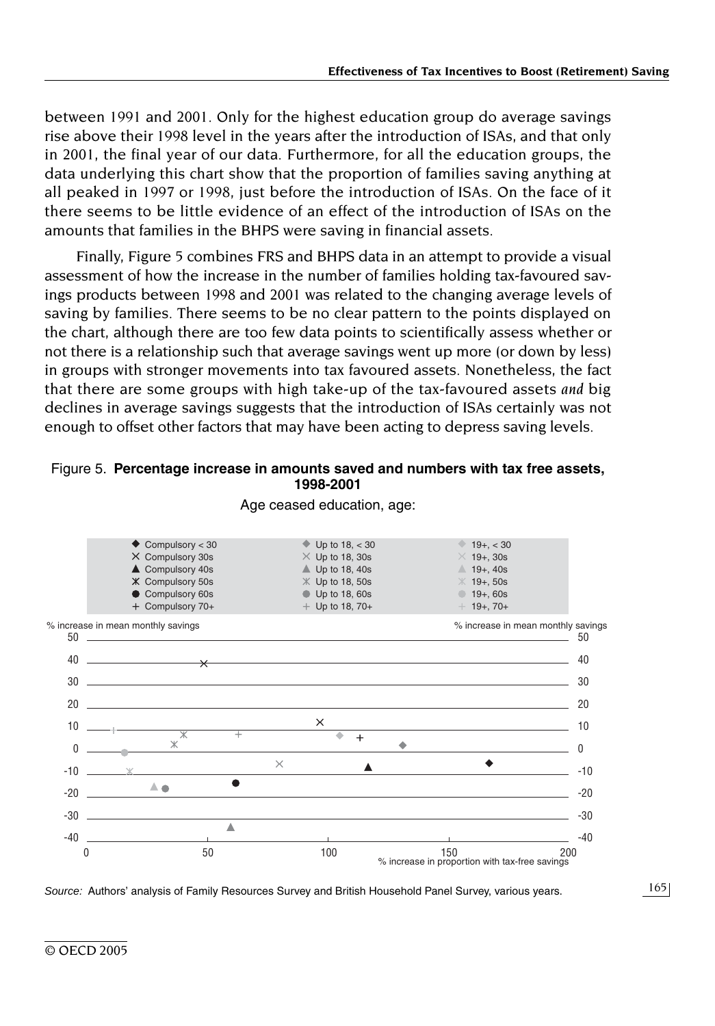between 1991 and 2001. Only for the highest education group do average savings rise above their 1998 level in the years after the introduction of ISAs, and that only in 2001, the final year of our data. Furthermore, for all the education groups, the data underlying this chart show that the proportion of families saving anything at all peaked in 1997 or 1998, just before the introduction of ISAs. On the face of it there seems to be little evidence of an effect of the introduction of ISAs on the amounts that families in the BHPS were saving in financial assets.

Finally, Figure 5 combines FRS and BHPS data in an attempt to provide a visual assessment of how the increase in the number of families holding tax-favoured savings products between 1998 and 2001 was related to the changing average levels of saving by families. There seems to be no clear pattern to the points displayed on the chart, although there are too few data points to scientifically assess whether or not there is a relationship such that average savings went up more (or down by less) in groups with stronger movements into tax favoured assets. Nonetheless, the fact that there are some groups with high take-up of the tax-favoured assets *and* big declines in average savings suggests that the introduction of ISAs certainly was not enough to offset other factors that may have been acting to depress saving levels.

#### Figure 5. **Percentage increase in amounts saved and numbers with tax free assets, 1998-2001**



Age ceased education, age:

*Source:* Authors' analysis of Family Resources Survey and British Household Panel Survey, various years.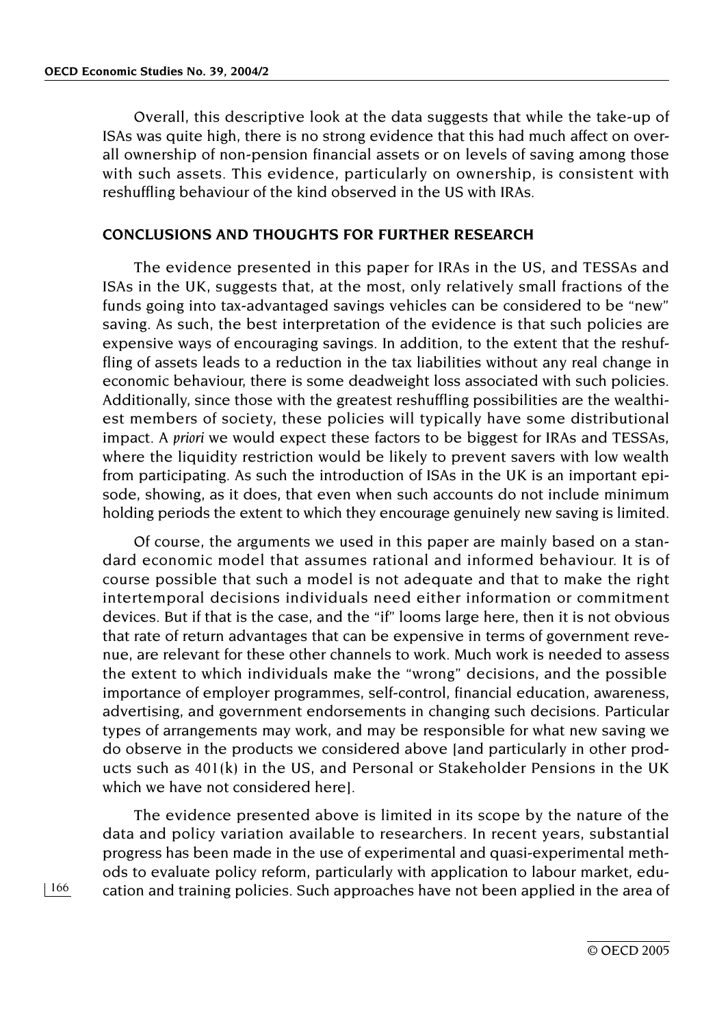Overall, this descriptive look at the data suggests that while the take-up of ISAs was quite high, there is no strong evidence that this had much affect on overall ownership of non-pension financial assets or on levels of saving among those with such assets. This evidence, particularly on ownership, is consistent with reshuffling behaviour of the kind observed in the US with IRAs.

#### **CONCLUSIONS AND THOUGHTS FOR FURTHER RESEARCH**

The evidence presented in this paper for IRAs in the US, and TESSAs and ISAs in the UK, suggests that, at the most, only relatively small fractions of the funds going into tax-advantaged savings vehicles can be considered to be "new" saving. As such, the best interpretation of the evidence is that such policies are expensive ways of encouraging savings. In addition, to the extent that the reshuffling of assets leads to a reduction in the tax liabilities without any real change in economic behaviour, there is some deadweight loss associated with such policies. Additionally, since those with the greatest reshuffling possibilities are the wealthiest members of society, these policies will typically have some distributional impact. *A priori* we would expect these factors to be biggest for IRAs and TESSAs, where the liquidity restriction would be likely to prevent savers with low wealth from participating. As such the introduction of ISAs in the UK is an important episode, showing, as it does, that even when such accounts do not include minimum holding periods the extent to which they encourage genuinely new saving is limited.

Of course, the arguments we used in this paper are mainly based on a standard economic model that assumes rational and informed behaviour. It is of course possible that such a model is not adequate and that to make the right intertemporal decisions individuals need either information or commitment devices. But if that is the case, and the "if" looms large here, then it is not obvious that rate of return advantages that can be expensive in terms of government revenue, are relevant for these other channels to work. Much work is needed to assess the extent to which individuals make the "wrong" decisions, and the possible importance of employer programmes, self-control, financial education, awareness, advertising, and government endorsements in changing such decisions. Particular types of arrangements may work, and may be responsible for what new saving we do observe in the products we considered above [and particularly in other products such as 401(k) in the US, and Personal or Stakeholder Pensions in the UK which we have not considered here].

The evidence presented above is limited in its scope by the nature of the data and policy variation available to researchers. In recent years, substantial progress has been made in the use of experimental and quasi-experimental methods to evaluate policy reform, particularly with application to labour market, education and training policies. Such approaches have not been applied in the area of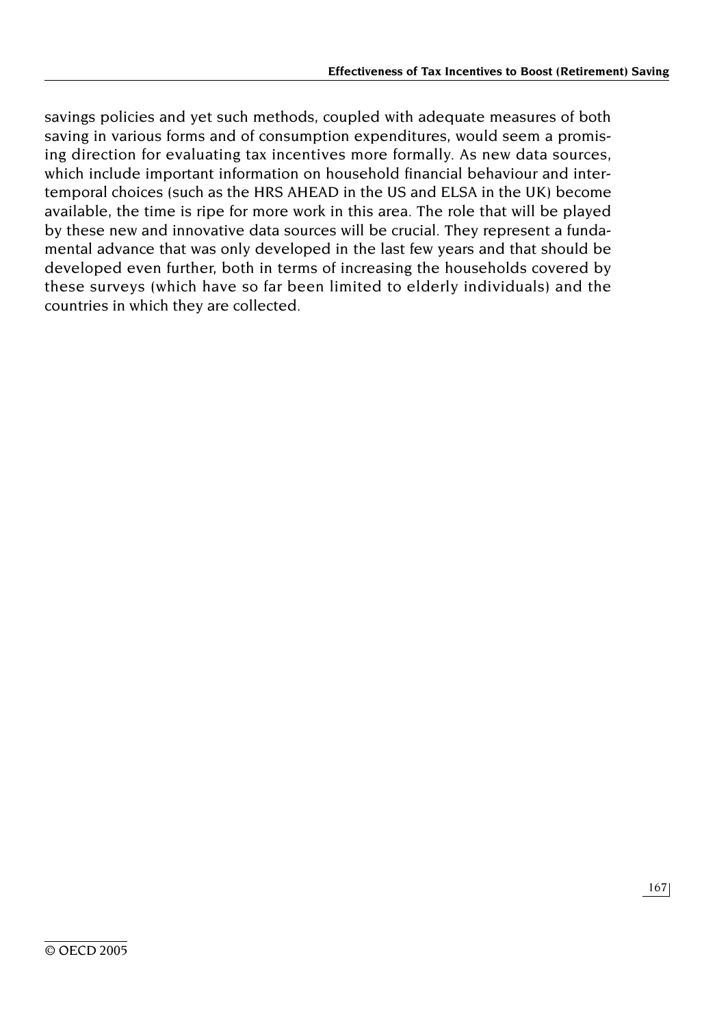savings policies and yet such methods, coupled with adequate measures of both saving in various forms and of consumption expenditures, would seem a promising direction for evaluating tax incentives more formally. As new data sources, which include important information on household financial behaviour and intertemporal choices (such as the HRS AHEAD in the US and ELSA in the UK) become available, the time is ripe for more work in this area. The role that will be played by these new and innovative data sources will be crucial. They represent a fundamental advance that was only developed in the last few years and that should be developed even further, both in terms of increasing the households covered by these surveys (which have so far been limited to elderly individuals) and the countries in which they are collected.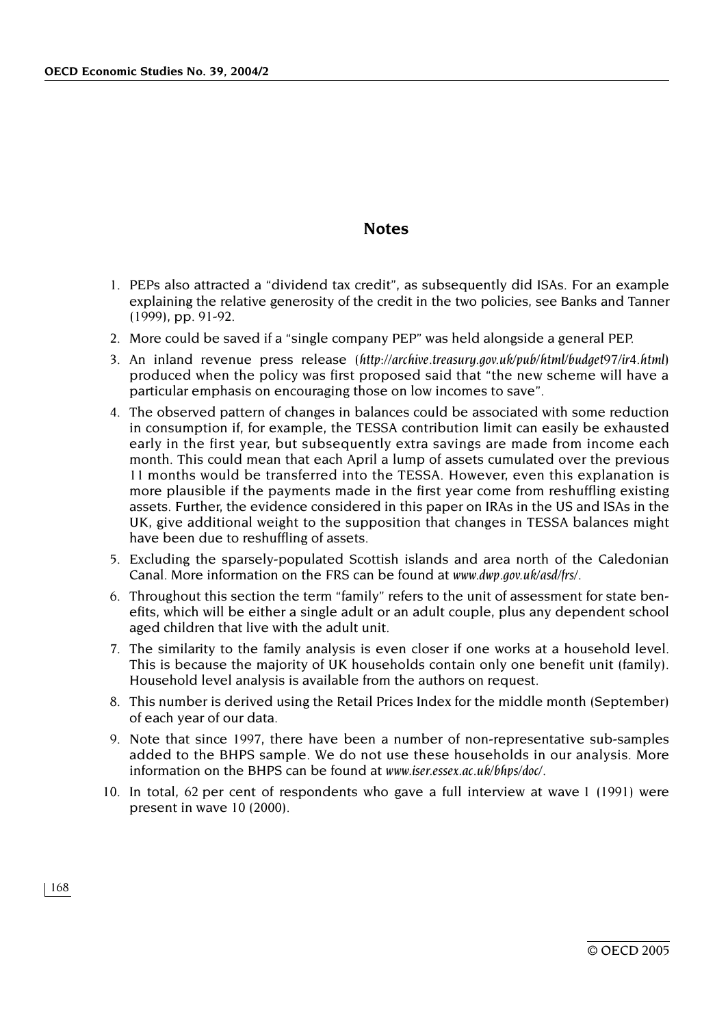### **Notes**

- 1. PEPs also attracted a "dividend tax credit", as subsequently did ISAs. For an example explaining the relative generosity of the credit in the two policies, see Banks and Tanner (1999), pp. 91-92.
- 2. More could be saved if a "single company PEP" was held alongside a general PEP.
- 3. An inland revenue press release (*http://archive.treasury.gov.uk/pub/html/budget97/ir4.html*) produced when the policy was first proposed said that "the new scheme will have a particular emphasis on encouraging those on low incomes to save".
- 4. The observed pattern of changes in balances could be associated with some reduction in consumption if, for example, the TESSA contribution limit can easily be exhausted early in the first year, but subsequently extra savings are made from income each month. This could mean that each April a lump of assets cumulated over the previous 11 months would be transferred into the TESSA. However, even this explanation is more plausible if the payments made in the first year come from reshuffling existing assets. Further, the evidence considered in this paper on IRAs in the US and ISAs in the UK, give additional weight to the supposition that changes in TESSA balances might have been due to reshuffling of assets.
- 5. Excluding the sparsely-populated Scottish islands and area north of the Caledonian Canal. More information on the FRS can be found at *www.dwp.gov.uk/asd/frs/.*
- 6. Throughout this section the term "family" refers to the unit of assessment for state benefits, which will be either a single adult or an adult couple, plus any dependent school aged children that live with the adult unit.
- 7. The similarity to the family analysis is even closer if one works at a household level. This is because the majority of UK households contain only one benefit unit (family). Household level analysis is available from the authors on request.
- 8. This number is derived using the Retail Prices Index for the middle month (September) of each year of our data.
- 9. Note that since 1997, there have been a number of non-representative sub-samples added to the BHPS sample. We do not use these households in our analysis. More information on the BHPS can be found at *www.iser.essex.ac.uk/bhps/doc*/.
- 10. In total, 62 per cent of respondents who gave a full interview at wave 1 (1991) were present in wave 10 (2000).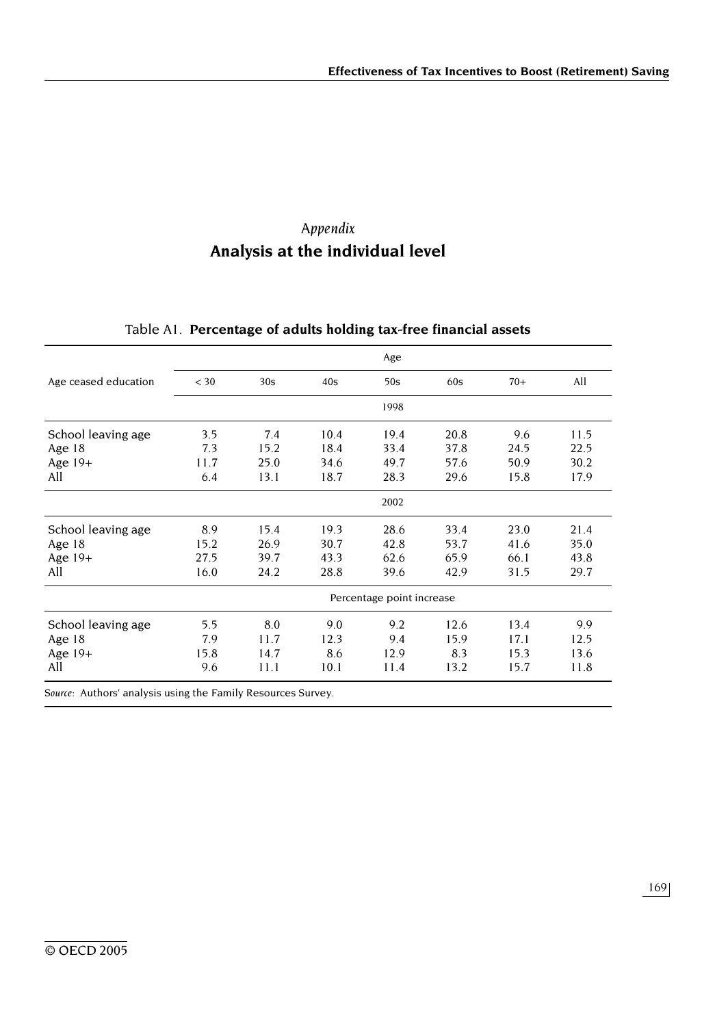# *Appendix*  **Analysis at the individual level**

|                      |                           |      |      | Age  |      |       |      |  |  |
|----------------------|---------------------------|------|------|------|------|-------|------|--|--|
| Age ceased education | $<$ 30                    | 30s  | 40s  | 50s  | 60s  | $70+$ | All  |  |  |
|                      |                           |      |      | 1998 |      |       |      |  |  |
| School leaving age   | 3.5                       | 7.4  | 10.4 | 19.4 | 20.8 | 9.6   | 11.5 |  |  |
| Age 18               | 7.3                       | 15.2 | 18.4 | 33.4 | 37.8 | 24.5  | 22.5 |  |  |
| Age $19+$            | 11.7                      | 25.0 | 34.6 | 49.7 | 57.6 | 50.9  | 30.2 |  |  |
| All                  | 6.4                       | 13.1 | 18.7 | 28.3 | 29.6 | 15.8  | 17.9 |  |  |
|                      |                           |      |      | 2002 |      |       |      |  |  |
| School leaving age   | 8.9                       | 15.4 | 19.3 | 28.6 | 33.4 | 23.0  | 21.4 |  |  |
| Age $18$             | 15.2                      | 26.9 | 30.7 | 42.8 | 53.7 | 41.6  | 35.0 |  |  |
| Age $19+$            | 27.5                      | 39.7 | 43.3 | 62.6 | 65.9 | 66.1  | 43.8 |  |  |
| All                  | 16.0                      | 24.2 | 28.8 | 39.6 | 42.9 | 31.5  | 29.7 |  |  |
|                      | Percentage point increase |      |      |      |      |       |      |  |  |
| School leaving age   | 5.5                       | 8.0  | 9.0  | 9.2  | 12.6 | 13.4  | 9.9  |  |  |
| Age $18$             | 7.9                       | 11.7 | 12.3 | 9.4  | 15.9 | 17.1  | 12.5 |  |  |
|                      | 15.8                      | 14.7 | 8.6  | 12.9 | 8.3  | 15.3  | 13.6 |  |  |
| Age $19+$            |                           |      |      |      |      |       |      |  |  |

# Table A1. **Percentage of adults holding tax-free financial assets**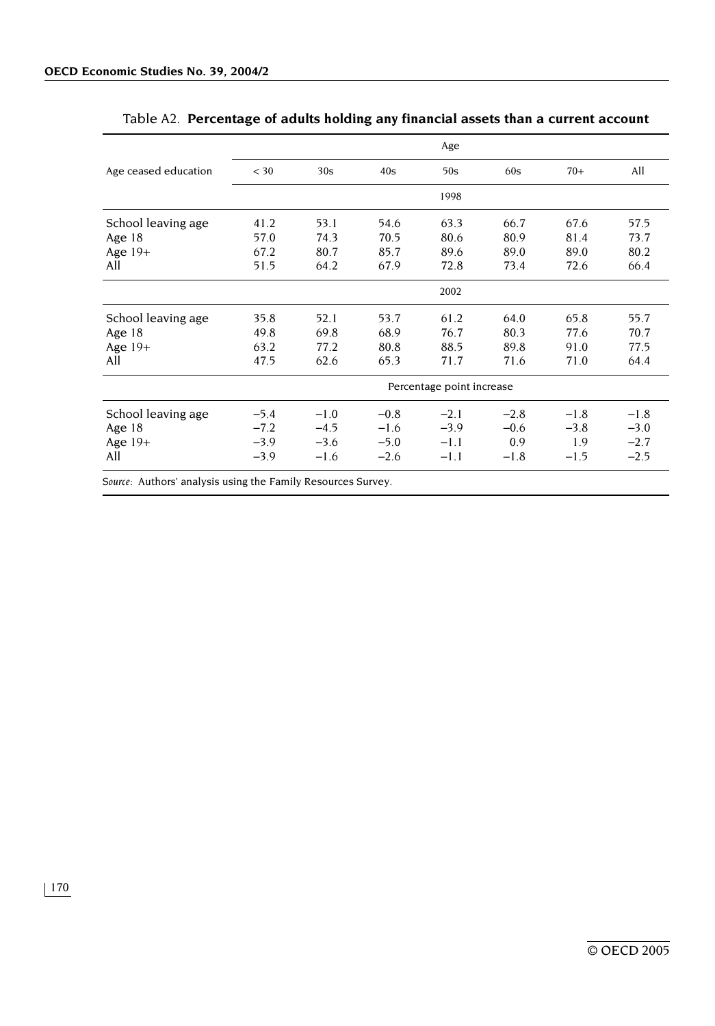|                      |                           |        |        | Age    |        |        |        |  |  |  |
|----------------------|---------------------------|--------|--------|--------|--------|--------|--------|--|--|--|
| Age ceased education | $<$ 30                    | 30s    | 40s    | 50s    | 60s    | $70+$  | All    |  |  |  |
|                      |                           |        |        | 1998   |        |        |        |  |  |  |
| School leaving age   | 41.2                      | 53.1   | 54.6   | 63.3   | 66.7   | 67.6   | 57.5   |  |  |  |
| Age $18$             | 57.0                      | 74.3   | 70.5   | 80.6   | 80.9   | 81.4   | 73.7   |  |  |  |
| Age $19+$            | 67.2                      | 80.7   | 85.7   | 89.6   | 89.0   | 89.0   | 80.2   |  |  |  |
| All                  | 51.5                      | 64.2   | 67.9   | 72.8   | 73.4   | 72.6   | 66.4   |  |  |  |
|                      |                           |        |        | 2002   |        |        |        |  |  |  |
| School leaving age   | 35.8                      | 52.1   | 53.7   | 61.2   | 64.0   | 65.8   | 55.7   |  |  |  |
| Age $18$             | 49.8                      | 69.8   | 68.9   | 76.7   | 80.3   | 77.6   | 70.7   |  |  |  |
| Age $19+$            | 63.2                      | 77.2   | 80.8   | 88.5   | 89.8   | 91.0   | 77.5   |  |  |  |
| All                  | 47.5                      | 62.6   | 65.3   | 71.7   | 71.6   | 71.0   | 64.4   |  |  |  |
|                      | Percentage point increase |        |        |        |        |        |        |  |  |  |
| School leaving age   | $-5.4$                    | $-1.0$ | $-0.8$ | $-2.1$ | $-2.8$ | $-1.8$ | $-1.8$ |  |  |  |
| Age $18$             | $-7.2$                    | $-4.5$ | $-1.6$ | $-3.9$ | $-0.6$ | $-3.8$ | $-3.0$ |  |  |  |
| Age $19+$            | $-3.9$                    | $-3.6$ | $-5.0$ | $-1.1$ | 0.9    | 1.9    | $-2.7$ |  |  |  |
| All                  | $-3.9$                    | $-1.6$ | $-2.6$ | $-1.1$ | $-1.8$ | $-1.5$ | $-2.5$ |  |  |  |
|                      |                           |        |        |        |        |        |        |  |  |  |

# Table A2. **Percentage of adults holding any financial assets than a current account**

*Source:* Authors' analysis using the Family Resources Survey.

170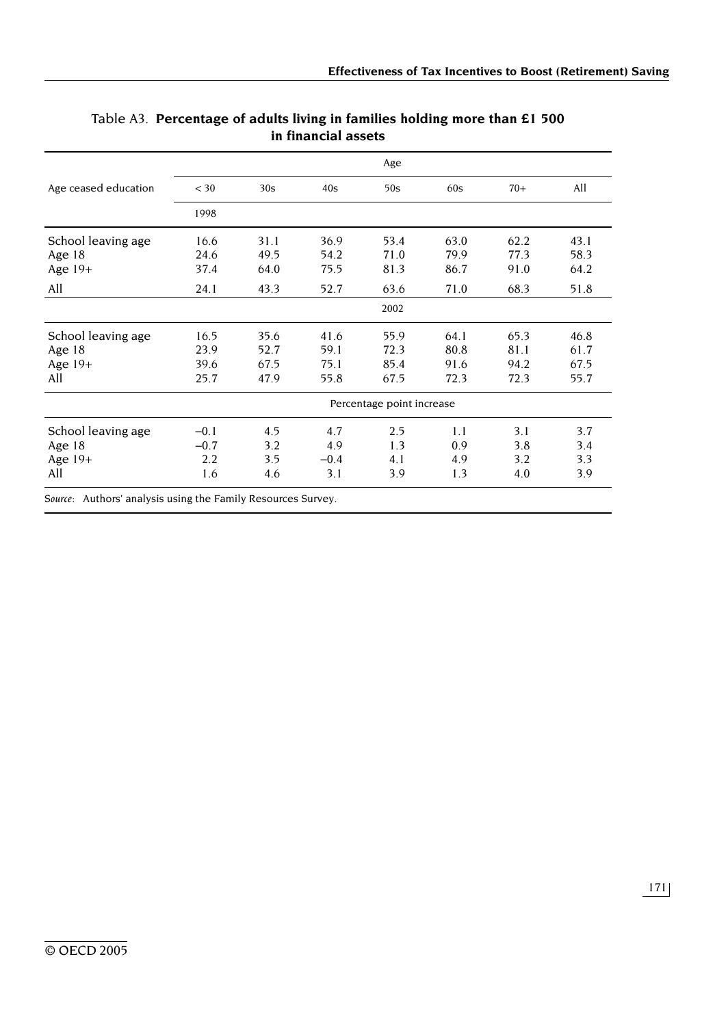|                      |                           |      |        | Age  |      |       |      |  |  |
|----------------------|---------------------------|------|--------|------|------|-------|------|--|--|
| Age ceased education | $<$ 30                    | 30s  | 40s    | 50s  | 60s  | $70+$ | All  |  |  |
|                      | 1998                      |      |        |      |      |       |      |  |  |
| School leaving age   | 16.6                      | 31.1 | 36.9   | 53.4 | 63.0 | 62.2  | 43.1 |  |  |
| Age 18               | 24.6                      | 49.5 | 54.2   | 71.0 | 79.9 | 77.3  | 58.3 |  |  |
| Age $19+$            | 37.4                      | 64.0 | 75.5   | 81.3 | 86.7 | 91.0  | 64.2 |  |  |
| All                  | 24.1                      | 43.3 | 52.7   | 63.6 | 71.0 | 68.3  | 51.8 |  |  |
|                      |                           |      |        | 2002 |      |       |      |  |  |
| School leaving age   | 16.5                      | 35.6 | 41.6   | 55.9 | 64.1 | 65.3  | 46.8 |  |  |
| Age 18               | 23.9                      | 52.7 | 59.1   | 72.3 | 80.8 | 81.1  | 61.7 |  |  |
| Age $19+$            | 39.6                      | 67.5 | 75.1   | 85.4 | 91.6 | 94.2  | 67.5 |  |  |
| All                  | 25.7                      | 47.9 | 55.8   | 67.5 | 72.3 | 72.3  | 55.7 |  |  |
|                      | Percentage point increase |      |        |      |      |       |      |  |  |
| School leaving age   | $-0.1$                    | 4.5  | 4.7    | 2.5  | 1.1  | 3.1   | 3.7  |  |  |
| Age 18               | $-0.7$                    | 3.2  | 4.9    | 1.3  | 0.9  | 3.8   | 3.4  |  |  |
| Age 19+              | 2.2                       | 3.5  | $-0.4$ | 4.1  | 4.9  | 3.2   | 3.3  |  |  |
| All                  | 1.6                       | 4.6  | 3.1    | 3.9  | 1.3  | 4.0   | 3.9  |  |  |

## Table A3. **Percentage of adults living in families holding more than £1 500 in financial assets**